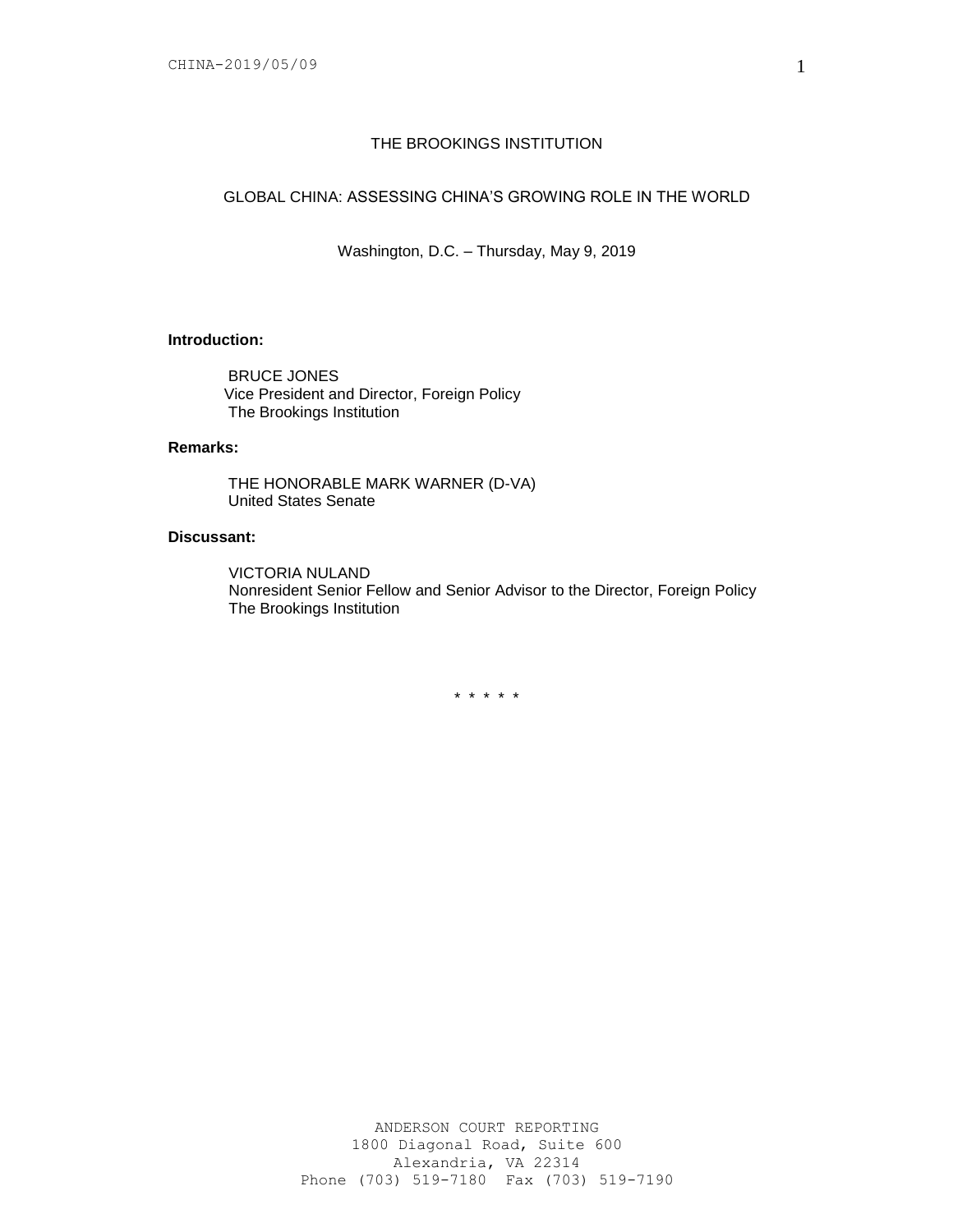### THE BROOKINGS INSTITUTION

# GLOBAL CHINA: ASSESSING CHINA'S GROWING ROLE IN THE WORLD

Washington, D.C. – Thursday, May 9, 2019

# **Introduction:**

BRUCE JONES Vice President and Director, Foreign Policy The Brookings Institution

### **Remarks:**

THE HONORABLE MARK WARNER (D-VA) United States Senate

# **Discussant:**

VICTORIA NULAND Nonresident Senior Fellow and Senior Advisor to the Director, Foreign Policy The Brookings Institution

\* \* \* \* \*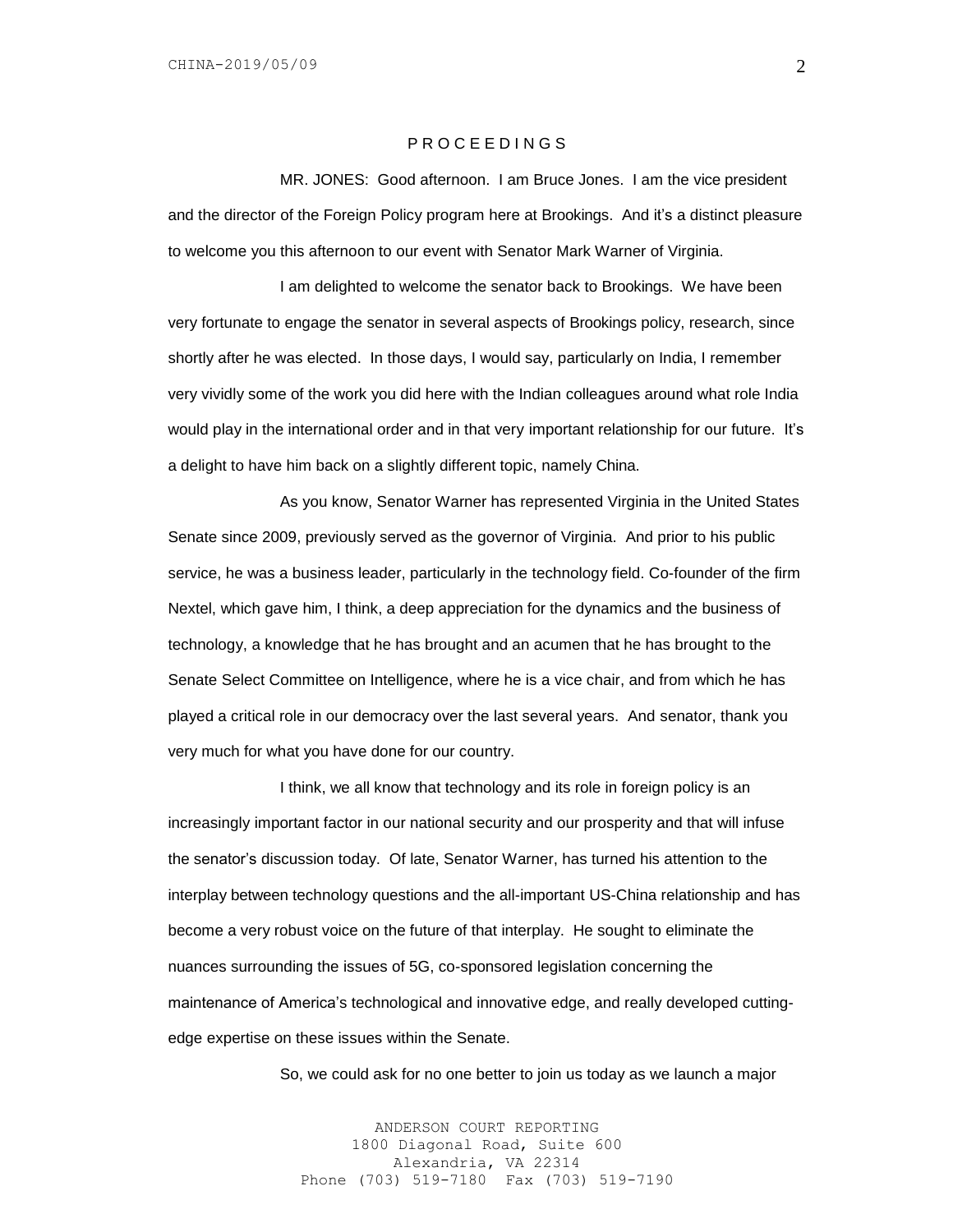#### P R O C E E D I N G S

MR. JONES: Good afternoon. I am Bruce Jones. I am the vice president and the director of the Foreign Policy program here at Brookings. And it's a distinct pleasure to welcome you this afternoon to our event with Senator Mark Warner of Virginia.

I am delighted to welcome the senator back to Brookings. We have been very fortunate to engage the senator in several aspects of Brookings policy, research, since shortly after he was elected. In those days, I would say, particularly on India, I remember very vividly some of the work you did here with the Indian colleagues around what role India would play in the international order and in that very important relationship for our future. It's a delight to have him back on a slightly different topic, namely China.

As you know, Senator Warner has represented Virginia in the United States Senate since 2009, previously served as the governor of Virginia. And prior to his public service, he was a business leader, particularly in the technology field. Co-founder of the firm Nextel, which gave him, I think, a deep appreciation for the dynamics and the business of technology, a knowledge that he has brought and an acumen that he has brought to the Senate Select Committee on Intelligence, where he is a vice chair, and from which he has played a critical role in our democracy over the last several years. And senator, thank you very much for what you have done for our country.

I think, we all know that technology and its role in foreign policy is an increasingly important factor in our national security and our prosperity and that will infuse the senator's discussion today. Of late, Senator Warner, has turned his attention to the interplay between technology questions and the all-important US-China relationship and has become a very robust voice on the future of that interplay. He sought to eliminate the nuances surrounding the issues of 5G, co-sponsored legislation concerning the maintenance of America's technological and innovative edge, and really developed cuttingedge expertise on these issues within the Senate.

So, we could ask for no one better to join us today as we launch a major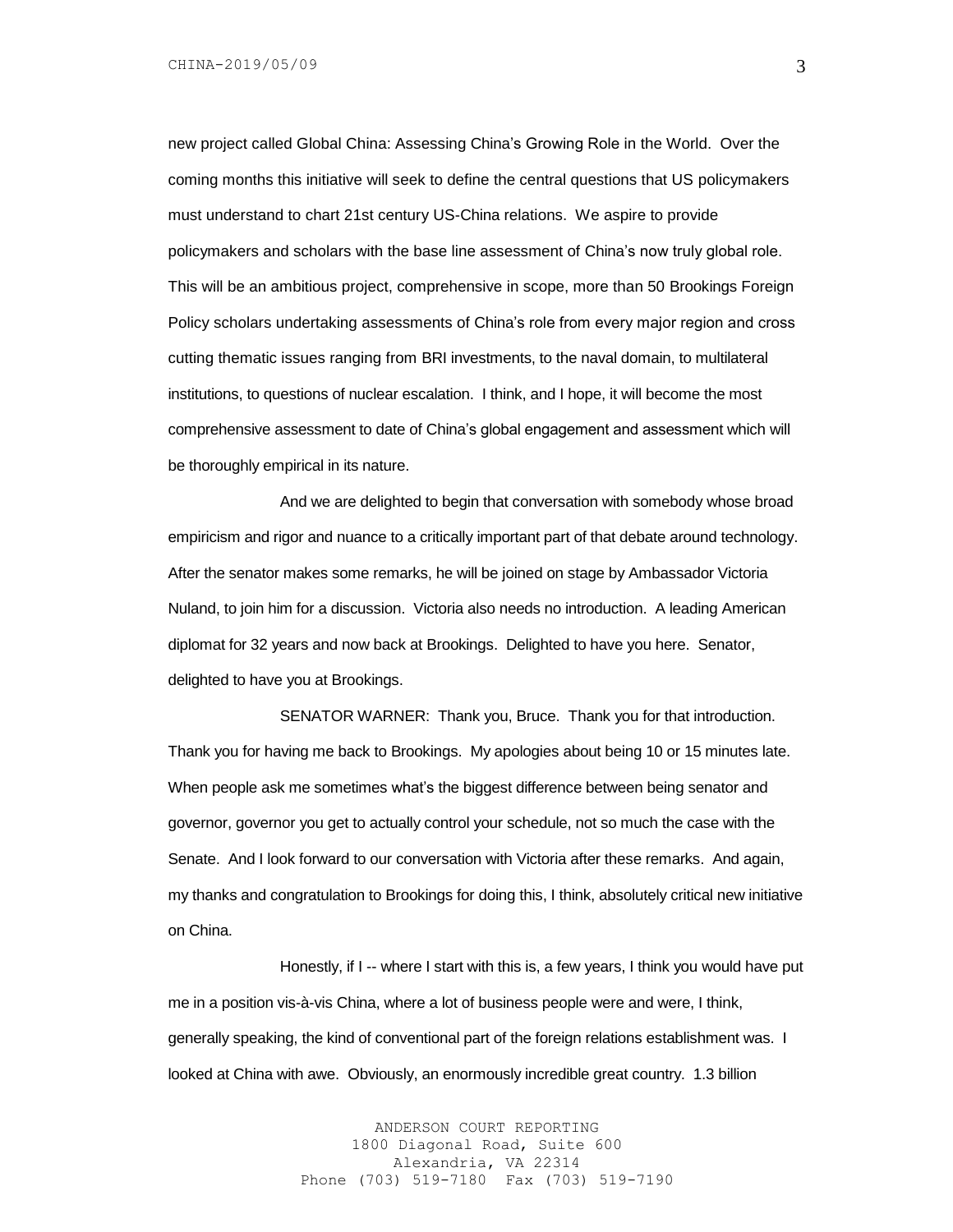new project called Global China: Assessing China's Growing Role in the World. Over the coming months this initiative will seek to define the central questions that US policymakers must understand to chart 21st century US-China relations. We aspire to provide policymakers and scholars with the base line assessment of China's now truly global role. This will be an ambitious project, comprehensive in scope, more than 50 Brookings Foreign Policy scholars undertaking assessments of China's role from every major region and cross cutting thematic issues ranging from BRI investments, to the naval domain, to multilateral institutions, to questions of nuclear escalation. I think, and I hope, it will become the most comprehensive assessment to date of China's global engagement and assessment which will be thoroughly empirical in its nature.

And we are delighted to begin that conversation with somebody whose broad empiricism and rigor and nuance to a critically important part of that debate around technology. After the senator makes some remarks, he will be joined on stage by Ambassador Victoria Nuland, to join him for a discussion. Victoria also needs no introduction. A leading American diplomat for 32 years and now back at Brookings. Delighted to have you here. Senator, delighted to have you at Brookings.

SENATOR WARNER: Thank you, Bruce. Thank you for that introduction. Thank you for having me back to Brookings. My apologies about being 10 or 15 minutes late. When people ask me sometimes what's the biggest difference between being senator and governor, governor you get to actually control your schedule, not so much the case with the Senate. And I look forward to our conversation with Victoria after these remarks. And again, my thanks and congratulation to Brookings for doing this, I think, absolutely critical new initiative on China.

Honestly, if I -- where I start with this is, a few years, I think you would have put me in a position vis-à-vis China, where a lot of business people were and were, I think, generally speaking, the kind of conventional part of the foreign relations establishment was. I looked at China with awe. Obviously, an enormously incredible great country. 1.3 billion

> ANDERSON COURT REPORTING 1800 Diagonal Road, Suite 600 Alexandria, VA 22314 Phone (703) 519-7180 Fax (703) 519-7190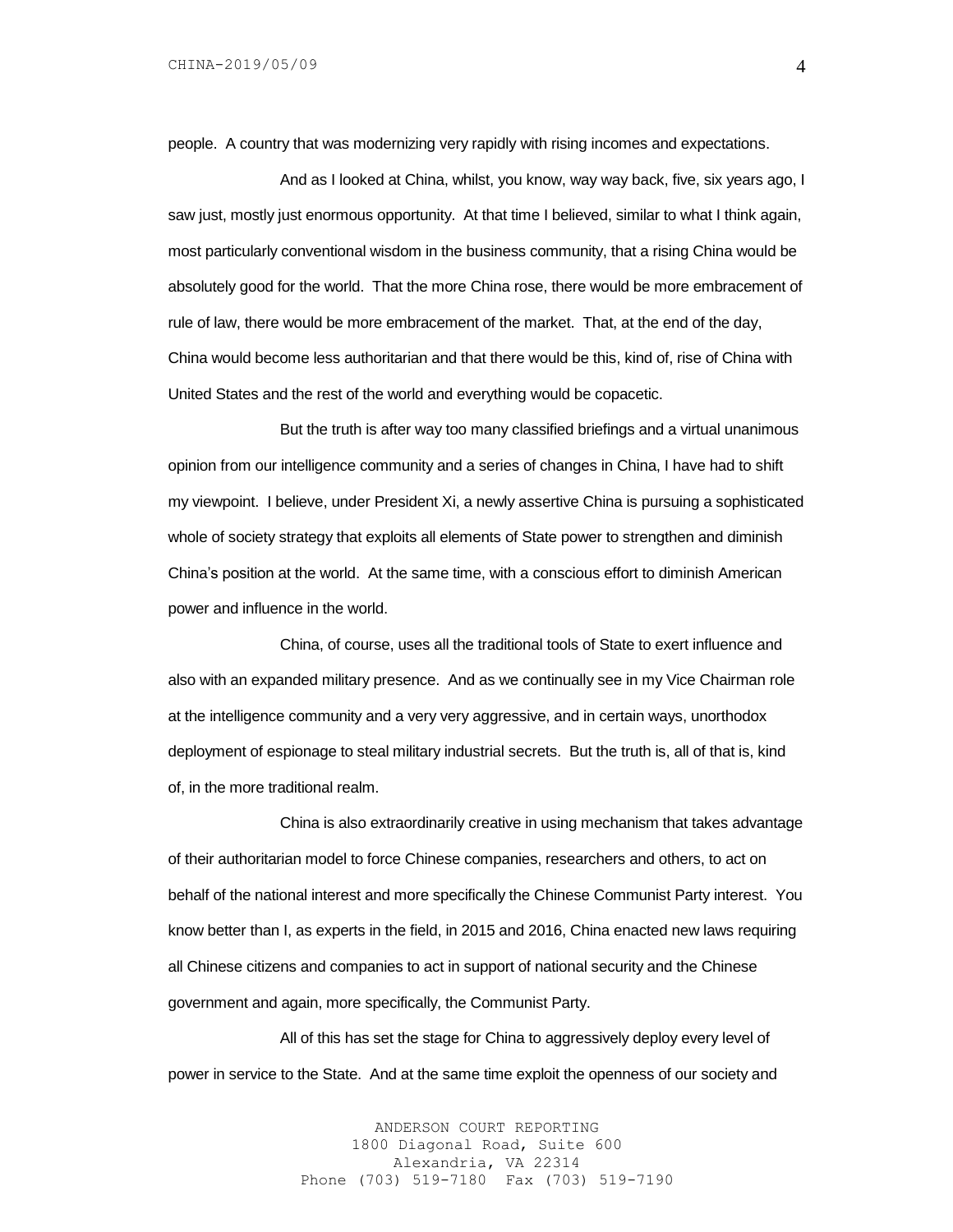people. A country that was modernizing very rapidly with rising incomes and expectations.

And as I looked at China, whilst, you know, way way back, five, six years ago, I saw just, mostly just enormous opportunity. At that time I believed, similar to what I think again, most particularly conventional wisdom in the business community, that a rising China would be absolutely good for the world. That the more China rose, there would be more embracement of rule of law, there would be more embracement of the market. That, at the end of the day, China would become less authoritarian and that there would be this, kind of, rise of China with United States and the rest of the world and everything would be copacetic.

But the truth is after way too many classified briefings and a virtual unanimous opinion from our intelligence community and a series of changes in China, I have had to shift my viewpoint. I believe, under President Xi, a newly assertive China is pursuing a sophisticated whole of society strategy that exploits all elements of State power to strengthen and diminish China's position at the world. At the same time, with a conscious effort to diminish American power and influence in the world.

China, of course, uses all the traditional tools of State to exert influence and also with an expanded military presence. And as we continually see in my Vice Chairman role at the intelligence community and a very very aggressive, and in certain ways, unorthodox deployment of espionage to steal military industrial secrets. But the truth is, all of that is, kind of, in the more traditional realm.

China is also extraordinarily creative in using mechanism that takes advantage of their authoritarian model to force Chinese companies, researchers and others, to act on behalf of the national interest and more specifically the Chinese Communist Party interest. You know better than I, as experts in the field, in 2015 and 2016, China enacted new laws requiring all Chinese citizens and companies to act in support of national security and the Chinese government and again, more specifically, the Communist Party.

All of this has set the stage for China to aggressively deploy every level of power in service to the State. And at the same time exploit the openness of our society and

> ANDERSON COURT REPORTING 1800 Diagonal Road, Suite 600 Alexandria, VA 22314 Phone (703) 519-7180 Fax (703) 519-7190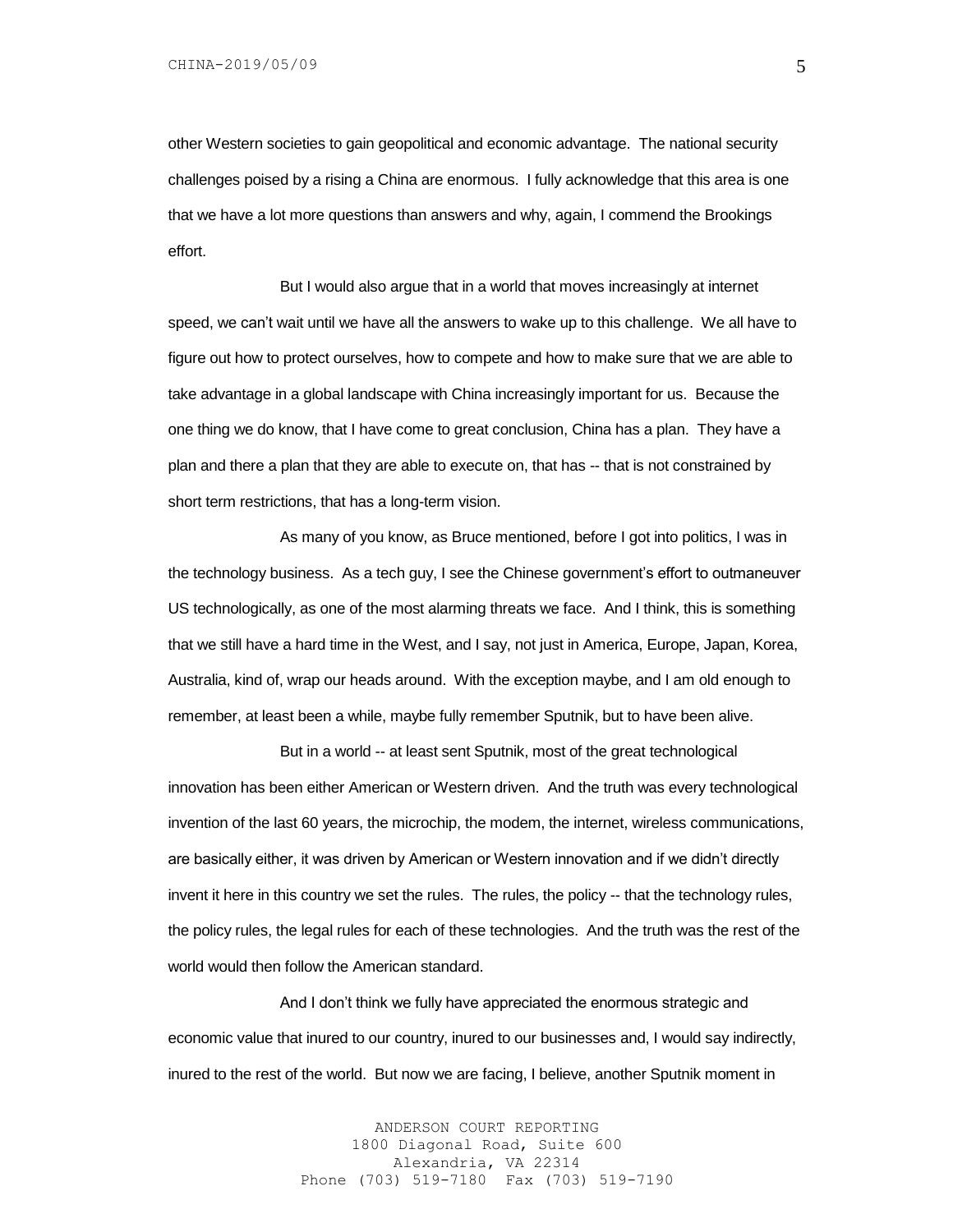other Western societies to gain geopolitical and economic advantage. The national security challenges poised by a rising a China are enormous. I fully acknowledge that this area is one that we have a lot more questions than answers and why, again, I commend the Brookings effort.

But I would also argue that in a world that moves increasingly at internet speed, we can't wait until we have all the answers to wake up to this challenge. We all have to figure out how to protect ourselves, how to compete and how to make sure that we are able to take advantage in a global landscape with China increasingly important for us. Because the one thing we do know, that I have come to great conclusion, China has a plan. They have a plan and there a plan that they are able to execute on, that has -- that is not constrained by short term restrictions, that has a long-term vision.

As many of you know, as Bruce mentioned, before I got into politics, I was in the technology business. As a tech guy, I see the Chinese government's effort to outmaneuver US technologically, as one of the most alarming threats we face. And I think, this is something that we still have a hard time in the West, and I say, not just in America, Europe, Japan, Korea, Australia, kind of, wrap our heads around. With the exception maybe, and I am old enough to remember, at least been a while, maybe fully remember Sputnik, but to have been alive.

But in a world -- at least sent Sputnik, most of the great technological innovation has been either American or Western driven. And the truth was every technological invention of the last 60 years, the microchip, the modem, the internet, wireless communications, are basically either, it was driven by American or Western innovation and if we didn't directly invent it here in this country we set the rules. The rules, the policy -- that the technology rules, the policy rules, the legal rules for each of these technologies. And the truth was the rest of the world would then follow the American standard.

And I don't think we fully have appreciated the enormous strategic and economic value that inured to our country, inured to our businesses and, I would say indirectly, inured to the rest of the world. But now we are facing, I believe, another Sputnik moment in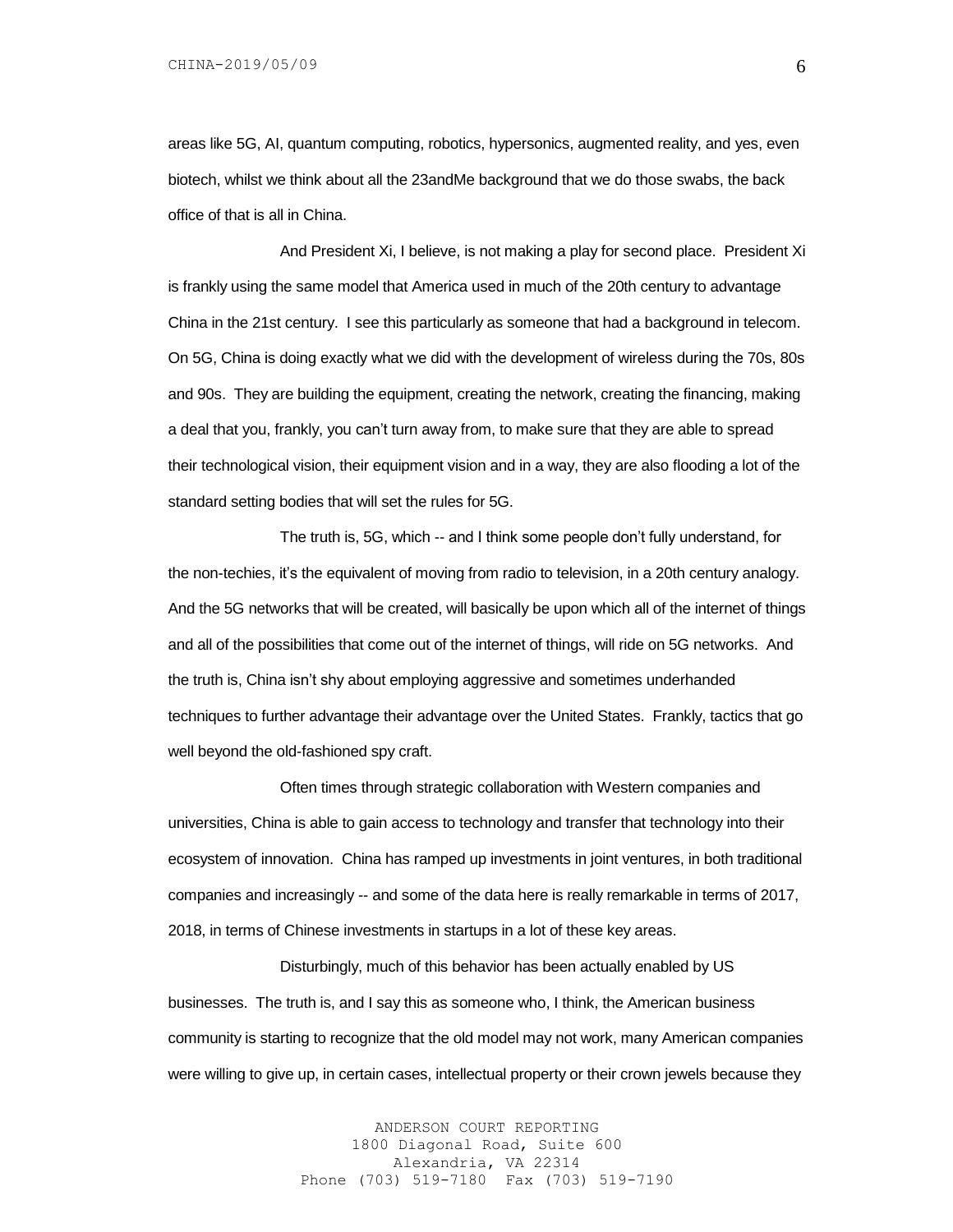areas like 5G, AI, quantum computing, robotics, hypersonics, augmented reality, and yes, even biotech, whilst we think about all the 23andMe background that we do those swabs, the back office of that is all in China.

And President Xi, I believe, is not making a play for second place. President Xi is frankly using the same model that America used in much of the 20th century to advantage China in the 21st century. I see this particularly as someone that had a background in telecom. On 5G, China is doing exactly what we did with the development of wireless during the 70s, 80s and 90s. They are building the equipment, creating the network, creating the financing, making a deal that you, frankly, you can't turn away from, to make sure that they are able to spread their technological vision, their equipment vision and in a way, they are also flooding a lot of the standard setting bodies that will set the rules for 5G.

The truth is, 5G, which -- and I think some people don't fully understand, for the non-techies, it's the equivalent of moving from radio to television, in a 20th century analogy. And the 5G networks that will be created, will basically be upon which all of the internet of things and all of the possibilities that come out of the internet of things, will ride on 5G networks. And the truth is, China isn't shy about employing aggressive and sometimes underhanded techniques to further advantage their advantage over the United States. Frankly, tactics that go well beyond the old-fashioned spy craft.

Often times through strategic collaboration with Western companies and universities, China is able to gain access to technology and transfer that technology into their ecosystem of innovation. China has ramped up investments in joint ventures, in both traditional companies and increasingly -- and some of the data here is really remarkable in terms of 2017, 2018, in terms of Chinese investments in startups in a lot of these key areas.

Disturbingly, much of this behavior has been actually enabled by US businesses. The truth is, and I say this as someone who, I think, the American business community is starting to recognize that the old model may not work, many American companies were willing to give up, in certain cases, intellectual property or their crown jewels because they

> ANDERSON COURT REPORTING 1800 Diagonal Road, Suite 600 Alexandria, VA 22314 Phone (703) 519-7180 Fax (703) 519-7190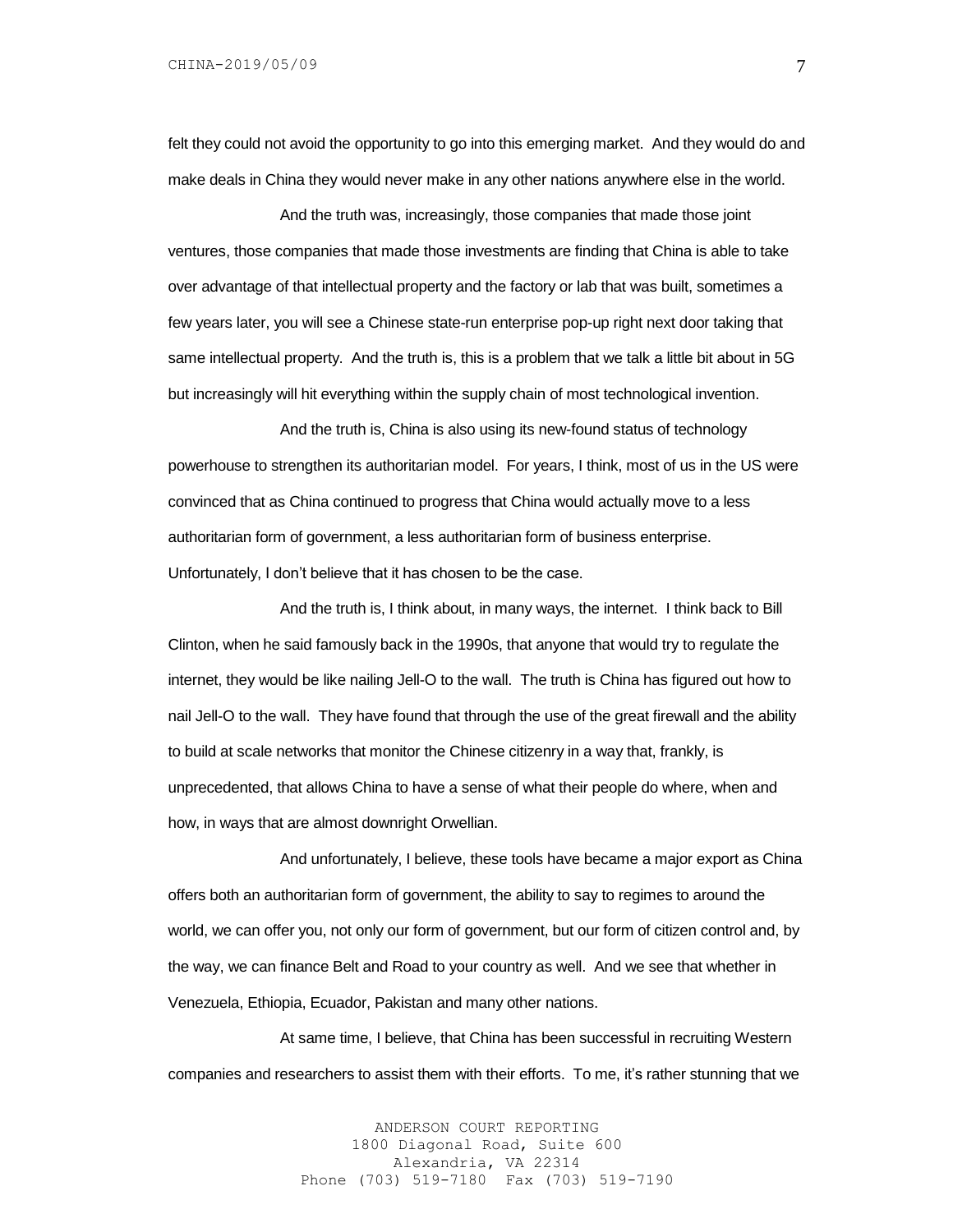felt they could not avoid the opportunity to go into this emerging market. And they would do and make deals in China they would never make in any other nations anywhere else in the world.

And the truth was, increasingly, those companies that made those joint ventures, those companies that made those investments are finding that China is able to take over advantage of that intellectual property and the factory or lab that was built, sometimes a few years later, you will see a Chinese state-run enterprise pop-up right next door taking that same intellectual property. And the truth is, this is a problem that we talk a little bit about in 5G but increasingly will hit everything within the supply chain of most technological invention.

And the truth is, China is also using its new-found status of technology powerhouse to strengthen its authoritarian model. For years, I think, most of us in the US were convinced that as China continued to progress that China would actually move to a less authoritarian form of government, a less authoritarian form of business enterprise. Unfortunately, I don't believe that it has chosen to be the case.

And the truth is, I think about, in many ways, the internet. I think back to Bill Clinton, when he said famously back in the 1990s, that anyone that would try to regulate the internet, they would be like nailing Jell-O to the wall. The truth is China has figured out how to nail Jell-O to the wall. They have found that through the use of the great firewall and the ability to build at scale networks that monitor the Chinese citizenry in a way that, frankly, is unprecedented, that allows China to have a sense of what their people do where, when and how, in ways that are almost downright Orwellian.

And unfortunately, I believe, these tools have became a major export as China offers both an authoritarian form of government, the ability to say to regimes to around the world, we can offer you, not only our form of government, but our form of citizen control and, by the way, we can finance Belt and Road to your country as well. And we see that whether in Venezuela, Ethiopia, Ecuador, Pakistan and many other nations.

At same time, I believe, that China has been successful in recruiting Western companies and researchers to assist them with their efforts. To me, it's rather stunning that we

> ANDERSON COURT REPORTING 1800 Diagonal Road, Suite 600 Alexandria, VA 22314 Phone (703) 519-7180 Fax (703) 519-7190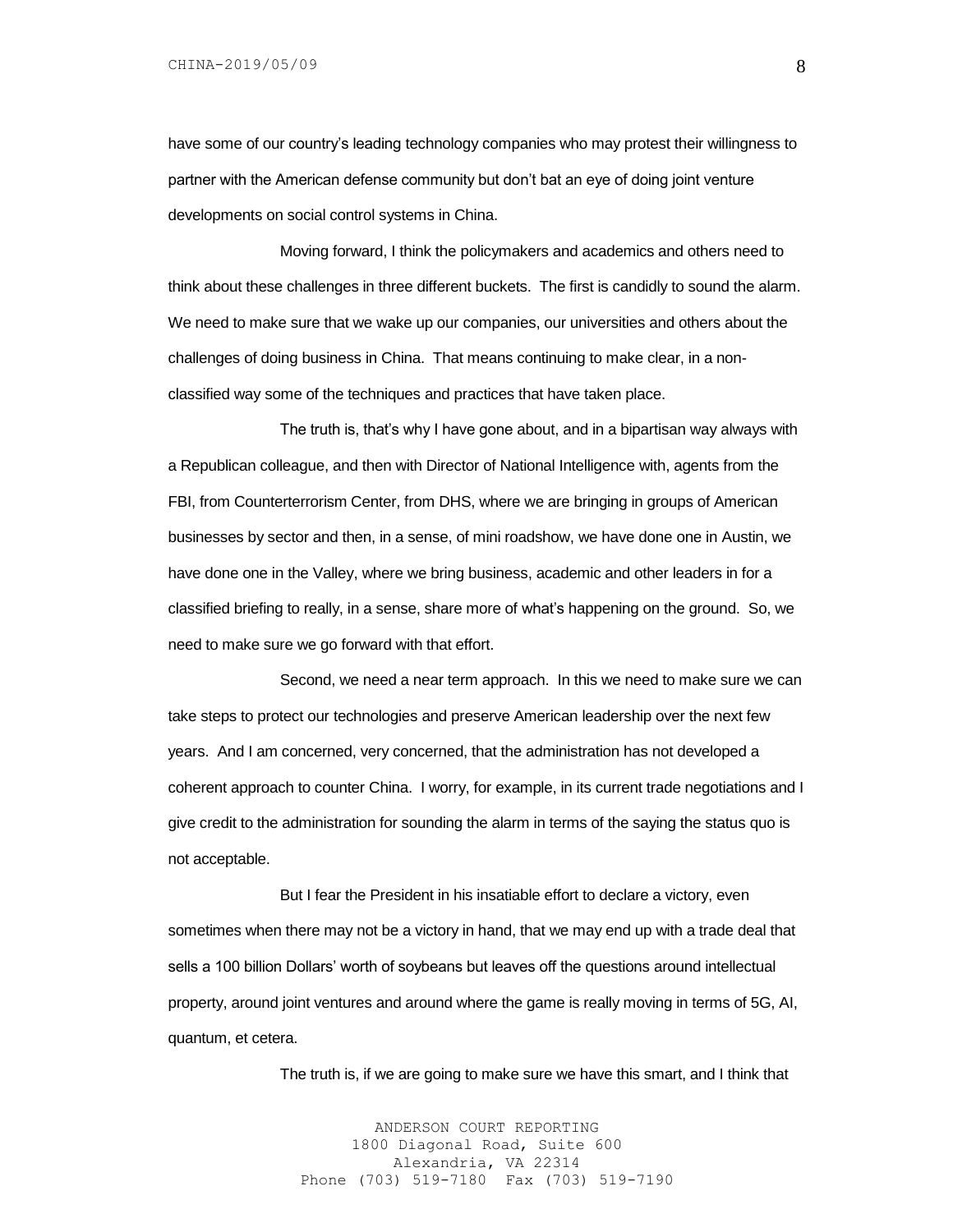have some of our country's leading technology companies who may protest their willingness to partner with the American defense community but don't bat an eye of doing joint venture developments on social control systems in China.

Moving forward, I think the policymakers and academics and others need to think about these challenges in three different buckets. The first is candidly to sound the alarm. We need to make sure that we wake up our companies, our universities and others about the challenges of doing business in China. That means continuing to make clear, in a nonclassified way some of the techniques and practices that have taken place.

The truth is, that's why I have gone about, and in a bipartisan way always with a Republican colleague, and then with Director of National Intelligence with, agents from the FBI, from Counterterrorism Center, from DHS, where we are bringing in groups of American businesses by sector and then, in a sense, of mini roadshow, we have done one in Austin, we have done one in the Valley, where we bring business, academic and other leaders in for a classified briefing to really, in a sense, share more of what's happening on the ground. So, we need to make sure we go forward with that effort.

Second, we need a near term approach. In this we need to make sure we can take steps to protect our technologies and preserve American leadership over the next few years. And I am concerned, very concerned, that the administration has not developed a coherent approach to counter China. I worry, for example, in its current trade negotiations and I give credit to the administration for sounding the alarm in terms of the saying the status quo is not acceptable.

But I fear the President in his insatiable effort to declare a victory, even sometimes when there may not be a victory in hand, that we may end up with a trade deal that sells a 100 billion Dollars' worth of soybeans but leaves off the questions around intellectual property, around joint ventures and around where the game is really moving in terms of 5G, AI, quantum, et cetera.

The truth is, if we are going to make sure we have this smart, and I think that

ANDERSON COURT REPORTING 1800 Diagonal Road, Suite 600 Alexandria, VA 22314 Phone (703) 519-7180 Fax (703) 519-7190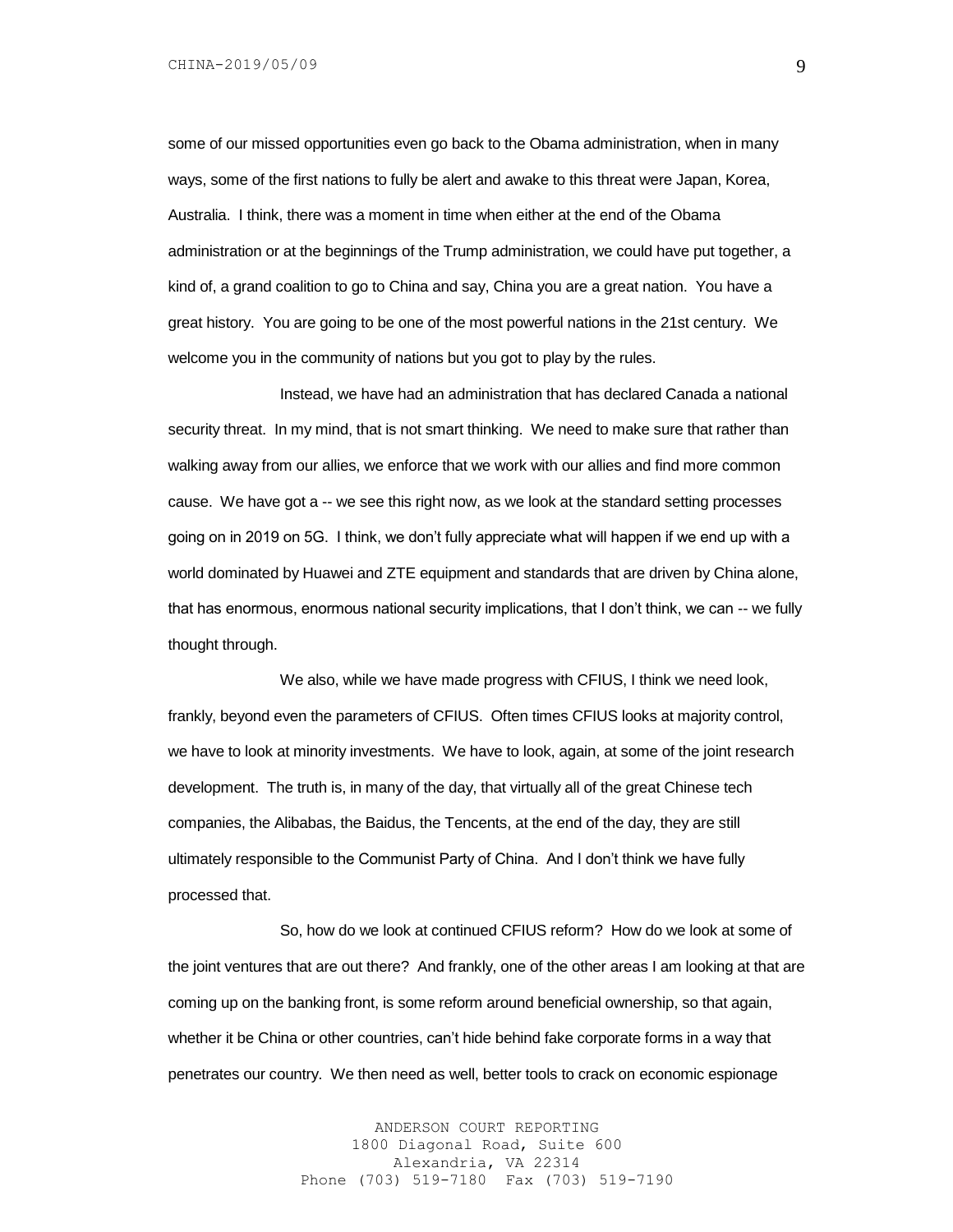some of our missed opportunities even go back to the Obama administration, when in many ways, some of the first nations to fully be alert and awake to this threat were Japan, Korea, Australia. I think, there was a moment in time when either at the end of the Obama administration or at the beginnings of the Trump administration, we could have put together, a kind of, a grand coalition to go to China and say, China you are a great nation. You have a great history. You are going to be one of the most powerful nations in the 21st century. We welcome you in the community of nations but you got to play by the rules.

Instead, we have had an administration that has declared Canada a national security threat. In my mind, that is not smart thinking. We need to make sure that rather than walking away from our allies, we enforce that we work with our allies and find more common cause. We have got a -- we see this right now, as we look at the standard setting processes going on in 2019 on 5G. I think, we don't fully appreciate what will happen if we end up with a world dominated by Huawei and ZTE equipment and standards that are driven by China alone, that has enormous, enormous national security implications, that I don't think, we can -- we fully thought through.

We also, while we have made progress with CFIUS, I think we need look, frankly, beyond even the parameters of CFIUS. Often times CFIUS looks at majority control, we have to look at minority investments. We have to look, again, at some of the joint research development. The truth is, in many of the day, that virtually all of the great Chinese tech companies, the Alibabas, the Baidus, the Tencents, at the end of the day, they are still ultimately responsible to the Communist Party of China. And I don't think we have fully processed that.

So, how do we look at continued CFIUS reform? How do we look at some of the joint ventures that are out there? And frankly, one of the other areas I am looking at that are coming up on the banking front, is some reform around beneficial ownership, so that again, whether it be China or other countries, can't hide behind fake corporate forms in a way that penetrates our country. We then need as well, better tools to crack on economic espionage

> ANDERSON COURT REPORTING 1800 Diagonal Road, Suite 600 Alexandria, VA 22314 Phone (703) 519-7180 Fax (703) 519-7190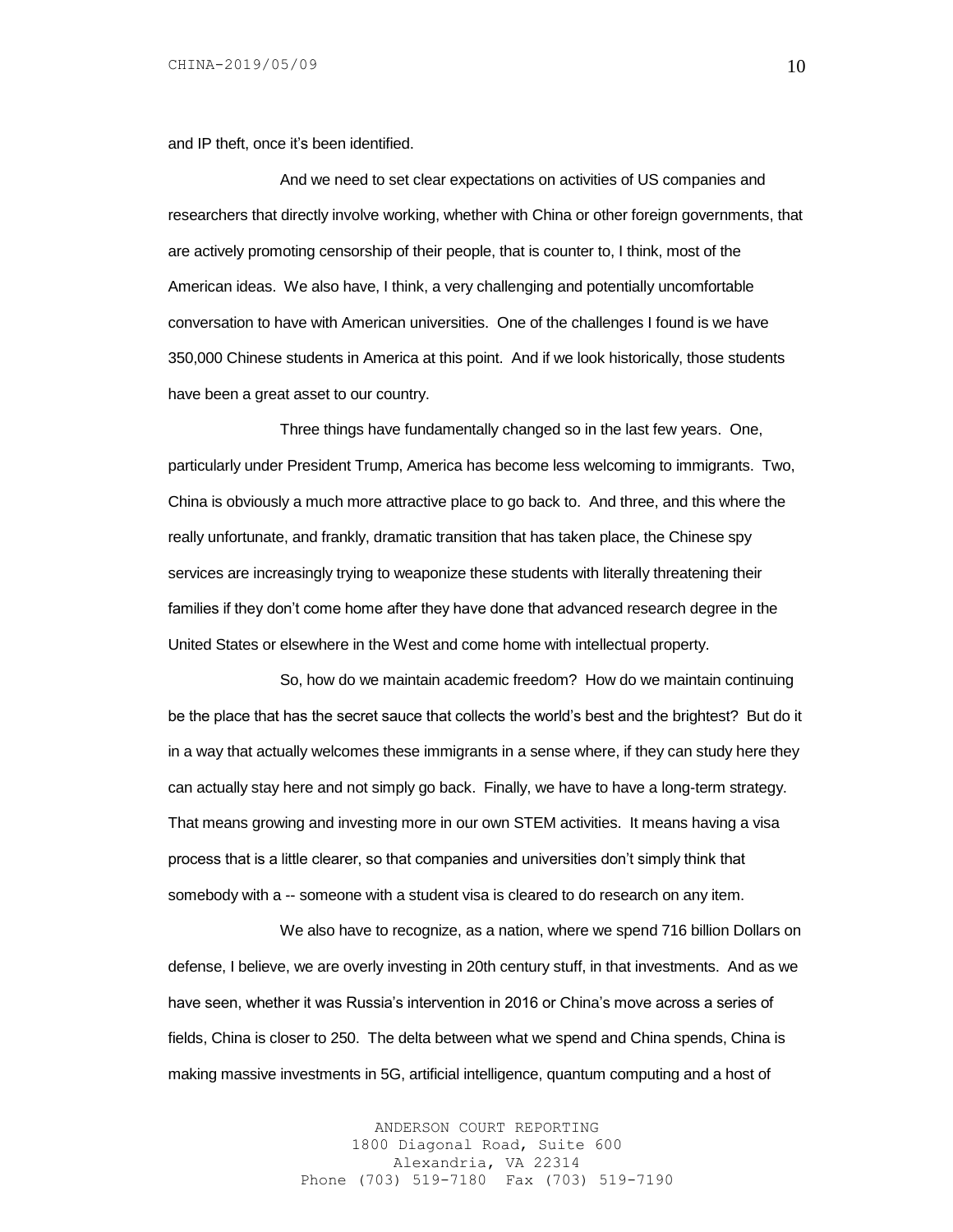and IP theft, once it's been identified.

And we need to set clear expectations on activities of US companies and researchers that directly involve working, whether with China or other foreign governments, that are actively promoting censorship of their people, that is counter to, I think, most of the American ideas. We also have, I think, a very challenging and potentially uncomfortable conversation to have with American universities. One of the challenges I found is we have 350,000 Chinese students in America at this point. And if we look historically, those students have been a great asset to our country.

Three things have fundamentally changed so in the last few years. One, particularly under President Trump, America has become less welcoming to immigrants. Two, China is obviously a much more attractive place to go back to. And three, and this where the really unfortunate, and frankly, dramatic transition that has taken place, the Chinese spy services are increasingly trying to weaponize these students with literally threatening their families if they don't come home after they have done that advanced research degree in the United States or elsewhere in the West and come home with intellectual property.

So, how do we maintain academic freedom? How do we maintain continuing be the place that has the secret sauce that collects the world's best and the brightest? But do it in a way that actually welcomes these immigrants in a sense where, if they can study here they can actually stay here and not simply go back. Finally, we have to have a long-term strategy. That means growing and investing more in our own STEM activities. It means having a visa process that is a little clearer, so that companies and universities don't simply think that somebody with a -- someone with a student visa is cleared to do research on any item.

We also have to recognize, as a nation, where we spend 716 billion Dollars on defense, I believe, we are overly investing in 20th century stuff, in that investments. And as we have seen, whether it was Russia's intervention in 2016 or China's move across a series of fields, China is closer to 250. The delta between what we spend and China spends, China is making massive investments in 5G, artificial intelligence, quantum computing and a host of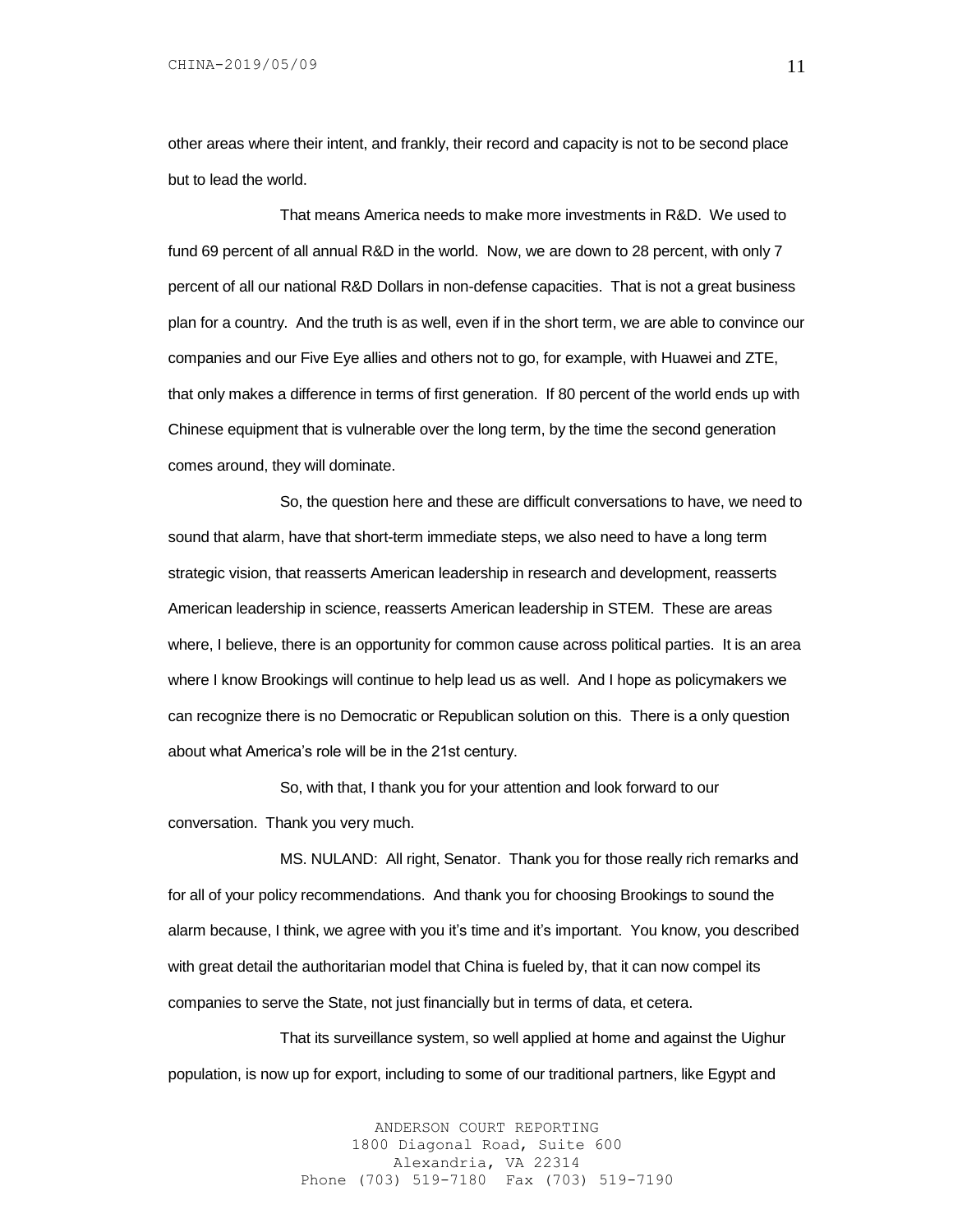other areas where their intent, and frankly, their record and capacity is not to be second place but to lead the world.

That means America needs to make more investments in R&D. We used to fund 69 percent of all annual R&D in the world. Now, we are down to 28 percent, with only 7 percent of all our national R&D Dollars in non-defense capacities. That is not a great business plan for a country. And the truth is as well, even if in the short term, we are able to convince our companies and our Five Eye allies and others not to go, for example, with Huawei and ZTE, that only makes a difference in terms of first generation. If 80 percent of the world ends up with Chinese equipment that is vulnerable over the long term, by the time the second generation comes around, they will dominate.

So, the question here and these are difficult conversations to have, we need to sound that alarm, have that short-term immediate steps, we also need to have a long term strategic vision, that reasserts American leadership in research and development, reasserts American leadership in science, reasserts American leadership in STEM. These are areas where, I believe, there is an opportunity for common cause across political parties. It is an area where I know Brookings will continue to help lead us as well. And I hope as policymakers we can recognize there is no Democratic or Republican solution on this. There is a only question about what America's role will be in the 21st century.

So, with that, I thank you for your attention and look forward to our conversation. Thank you very much.

MS. NULAND: All right, Senator. Thank you for those really rich remarks and for all of your policy recommendations. And thank you for choosing Brookings to sound the alarm because, I think, we agree with you it's time and it's important. You know, you described with great detail the authoritarian model that China is fueled by, that it can now compel its companies to serve the State, not just financially but in terms of data, et cetera.

That its surveillance system, so well applied at home and against the Uighur population, is now up for export, including to some of our traditional partners, like Egypt and

> ANDERSON COURT REPORTING 1800 Diagonal Road, Suite 600 Alexandria, VA 22314 Phone (703) 519-7180 Fax (703) 519-7190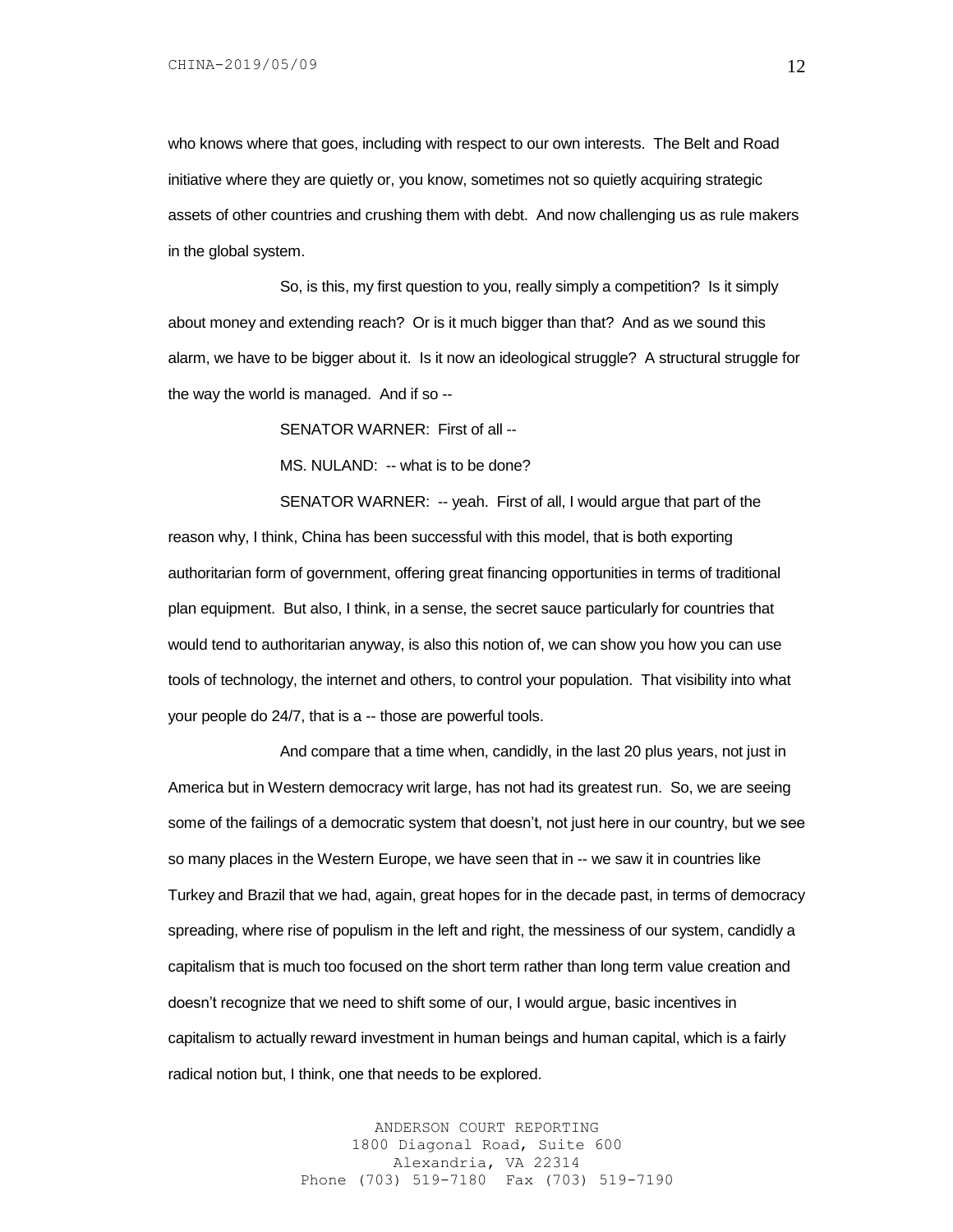who knows where that goes, including with respect to our own interests. The Belt and Road initiative where they are quietly or, you know, sometimes not so quietly acquiring strategic assets of other countries and crushing them with debt. And now challenging us as rule makers in the global system.

So, is this, my first question to you, really simply a competition? Is it simply about money and extending reach? Or is it much bigger than that? And as we sound this alarm, we have to be bigger about it. Is it now an ideological struggle? A structural struggle for the way the world is managed. And if so --

SENATOR WARNER: First of all --

MS. NULAND: -- what is to be done?

SENATOR WARNER: -- yeah. First of all, I would argue that part of the reason why, I think, China has been successful with this model, that is both exporting authoritarian form of government, offering great financing opportunities in terms of traditional plan equipment. But also, I think, in a sense, the secret sauce particularly for countries that would tend to authoritarian anyway, is also this notion of, we can show you how you can use tools of technology, the internet and others, to control your population. That visibility into what your people do 24/7, that is a -- those are powerful tools.

And compare that a time when, candidly, in the last 20 plus years, not just in America but in Western democracy writ large, has not had its greatest run. So, we are seeing some of the failings of a democratic system that doesn't, not just here in our country, but we see so many places in the Western Europe, we have seen that in -- we saw it in countries like Turkey and Brazil that we had, again, great hopes for in the decade past, in terms of democracy spreading, where rise of populism in the left and right, the messiness of our system, candidly a capitalism that is much too focused on the short term rather than long term value creation and doesn't recognize that we need to shift some of our, I would argue, basic incentives in capitalism to actually reward investment in human beings and human capital, which is a fairly radical notion but, I think, one that needs to be explored.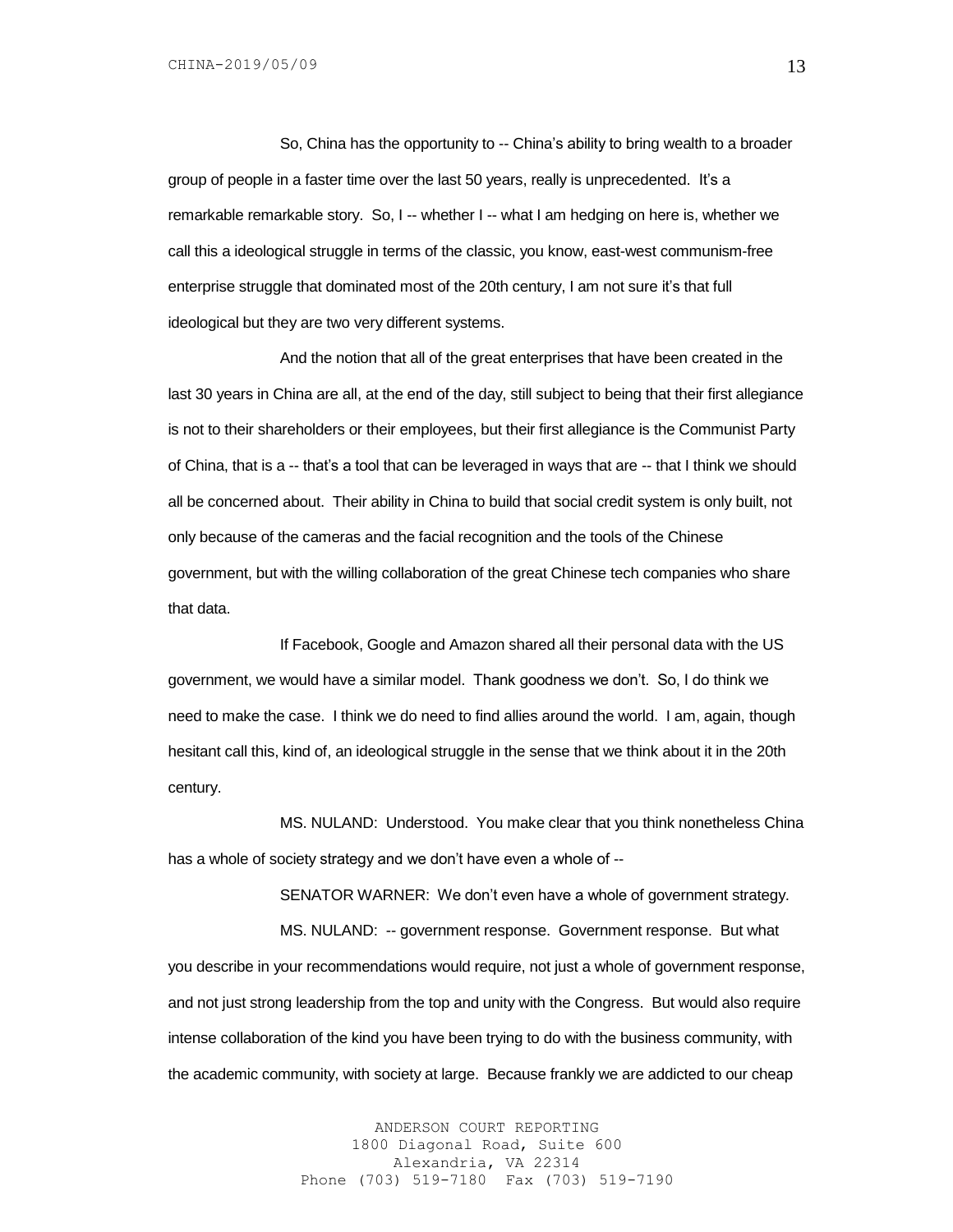So, China has the opportunity to -- China's ability to bring wealth to a broader group of people in a faster time over the last 50 years, really is unprecedented. It's a remarkable remarkable story. So, I -- whether I -- what I am hedging on here is, whether we call this a ideological struggle in terms of the classic, you know, east-west communism-free enterprise struggle that dominated most of the 20th century, I am not sure it's that full ideological but they are two very different systems.

And the notion that all of the great enterprises that have been created in the last 30 years in China are all, at the end of the day, still subject to being that their first allegiance is not to their shareholders or their employees, but their first allegiance is the Communist Party of China, that is a -- that's a tool that can be leveraged in ways that are -- that I think we should all be concerned about. Their ability in China to build that social credit system is only built, not only because of the cameras and the facial recognition and the tools of the Chinese government, but with the willing collaboration of the great Chinese tech companies who share that data.

If Facebook, Google and Amazon shared all their personal data with the US government, we would have a similar model. Thank goodness we don't. So, I do think we need to make the case. I think we do need to find allies around the world. I am, again, though hesitant call this, kind of, an ideological struggle in the sense that we think about it in the 20th century.

MS. NULAND: Understood. You make clear that you think nonetheless China has a whole of society strategy and we don't have even a whole of --

SENATOR WARNER: We don't even have a whole of government strategy.

MS. NULAND: -- government response. Government response. But what you describe in your recommendations would require, not just a whole of government response, and not just strong leadership from the top and unity with the Congress. But would also require intense collaboration of the kind you have been trying to do with the business community, with the academic community, with society at large. Because frankly we are addicted to our cheap

> ANDERSON COURT REPORTING 1800 Diagonal Road, Suite 600 Alexandria, VA 22314 Phone (703) 519-7180 Fax (703) 519-7190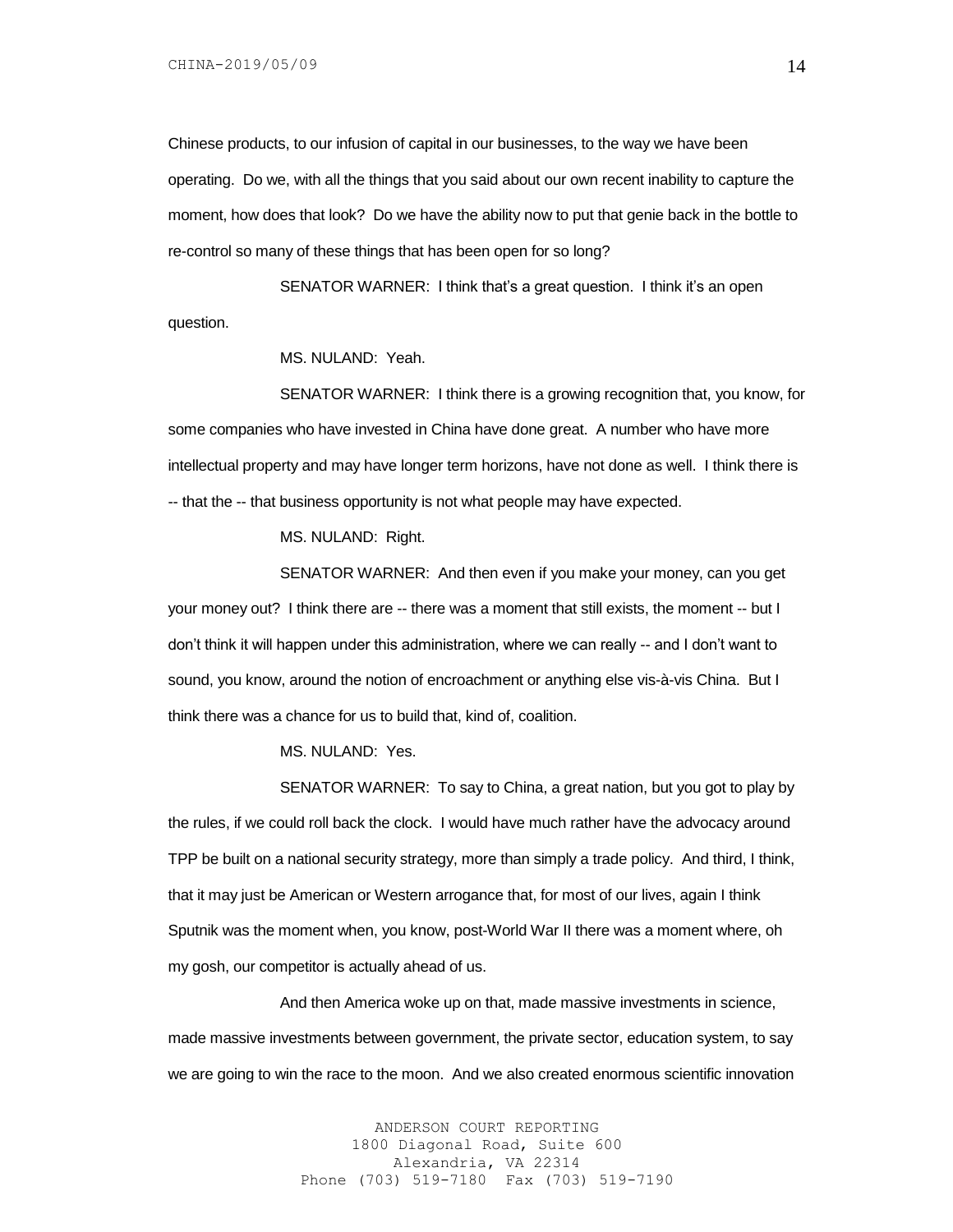Chinese products, to our infusion of capital in our businesses, to the way we have been operating. Do we, with all the things that you said about our own recent inability to capture the moment, how does that look? Do we have the ability now to put that genie back in the bottle to re-control so many of these things that has been open for so long?

SENATOR WARNER: I think that's a great question. I think it's an open question.

MS. NULAND: Yeah.

SENATOR WARNER: I think there is a growing recognition that, you know, for some companies who have invested in China have done great. A number who have more intellectual property and may have longer term horizons, have not done as well. I think there is -- that the -- that business opportunity is not what people may have expected.

MS. NULAND: Right.

SENATOR WARNER: And then even if you make your money, can you get your money out? I think there are -- there was a moment that still exists, the moment -- but I don't think it will happen under this administration, where we can really -- and I don't want to sound, you know, around the notion of encroachment or anything else vis-à-vis China. But I think there was a chance for us to build that, kind of, coalition.

MS. NULAND: Yes.

SENATOR WARNER: To say to China, a great nation, but you got to play by the rules, if we could roll back the clock. I would have much rather have the advocacy around TPP be built on a national security strategy, more than simply a trade policy. And third, I think, that it may just be American or Western arrogance that, for most of our lives, again I think Sputnik was the moment when, you know, post-World War II there was a moment where, oh my gosh, our competitor is actually ahead of us.

And then America woke up on that, made massive investments in science, made massive investments between government, the private sector, education system, to say we are going to win the race to the moon. And we also created enormous scientific innovation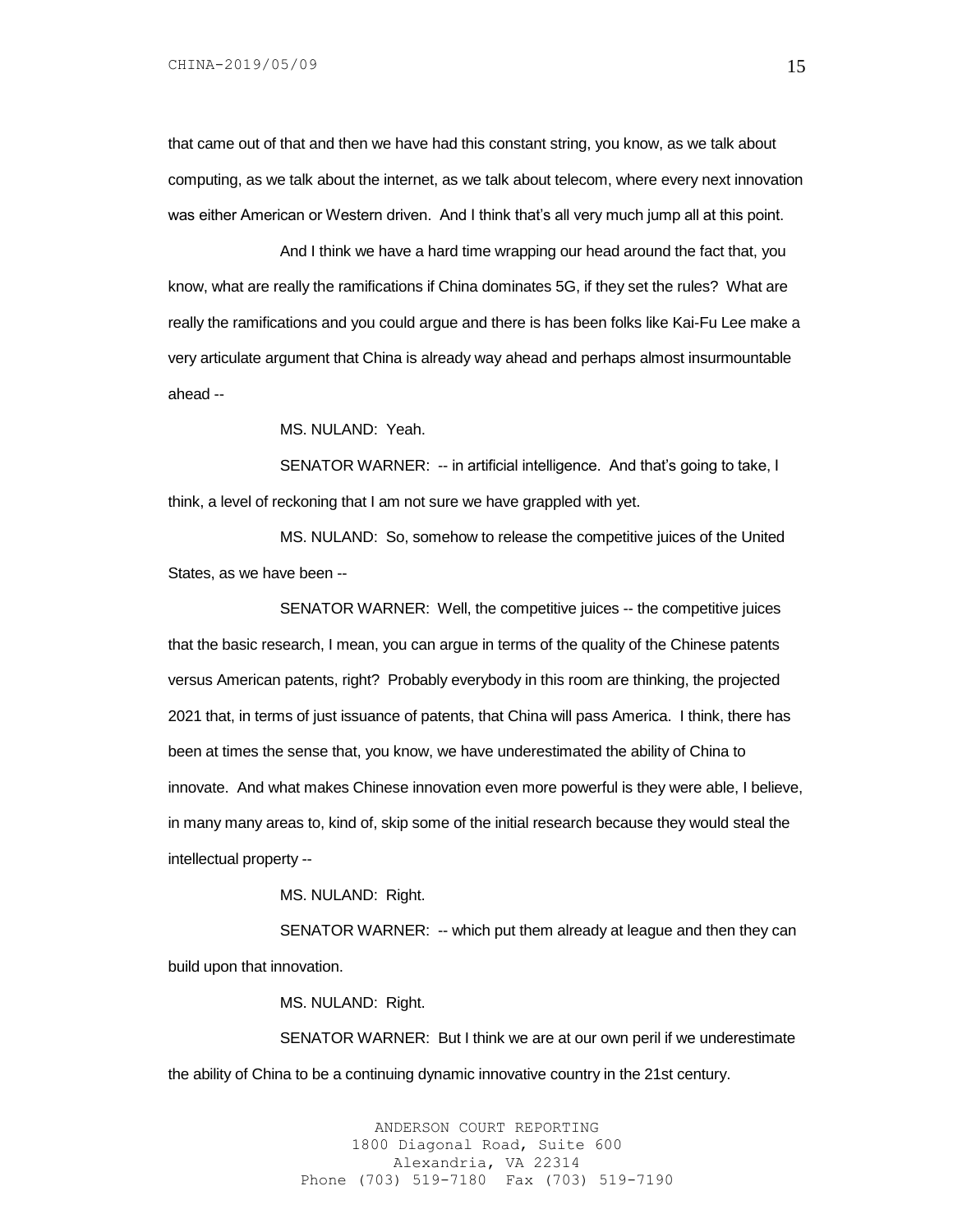that came out of that and then we have had this constant string, you know, as we talk about computing, as we talk about the internet, as we talk about telecom, where every next innovation was either American or Western driven. And I think that's all very much jump all at this point.

And I think we have a hard time wrapping our head around the fact that, you know, what are really the ramifications if China dominates 5G, if they set the rules? What are really the ramifications and you could argue and there is has been folks like Kai-Fu Lee make a very articulate argument that China is already way ahead and perhaps almost insurmountable ahead --

MS. NULAND: Yeah.

SENATOR WARNER: -- in artificial intelligence. And that's going to take, I think, a level of reckoning that I am not sure we have grappled with yet.

MS. NULAND: So, somehow to release the competitive juices of the United States, as we have been --

SENATOR WARNER: Well, the competitive juices -- the competitive juices that the basic research, I mean, you can argue in terms of the quality of the Chinese patents versus American patents, right? Probably everybody in this room are thinking, the projected 2021 that, in terms of just issuance of patents, that China will pass America. I think, there has been at times the sense that, you know, we have underestimated the ability of China to innovate. And what makes Chinese innovation even more powerful is they were able, I believe, in many many areas to, kind of, skip some of the initial research because they would steal the intellectual property --

MS. NULAND: Right.

SENATOR WARNER: -- which put them already at league and then they can build upon that innovation.

MS. NULAND: Right.

SENATOR WARNER: But I think we are at our own peril if we underestimate the ability of China to be a continuing dynamic innovative country in the 21st century.

> ANDERSON COURT REPORTING 1800 Diagonal Road, Suite 600 Alexandria, VA 22314 Phone (703) 519-7180 Fax (703) 519-7190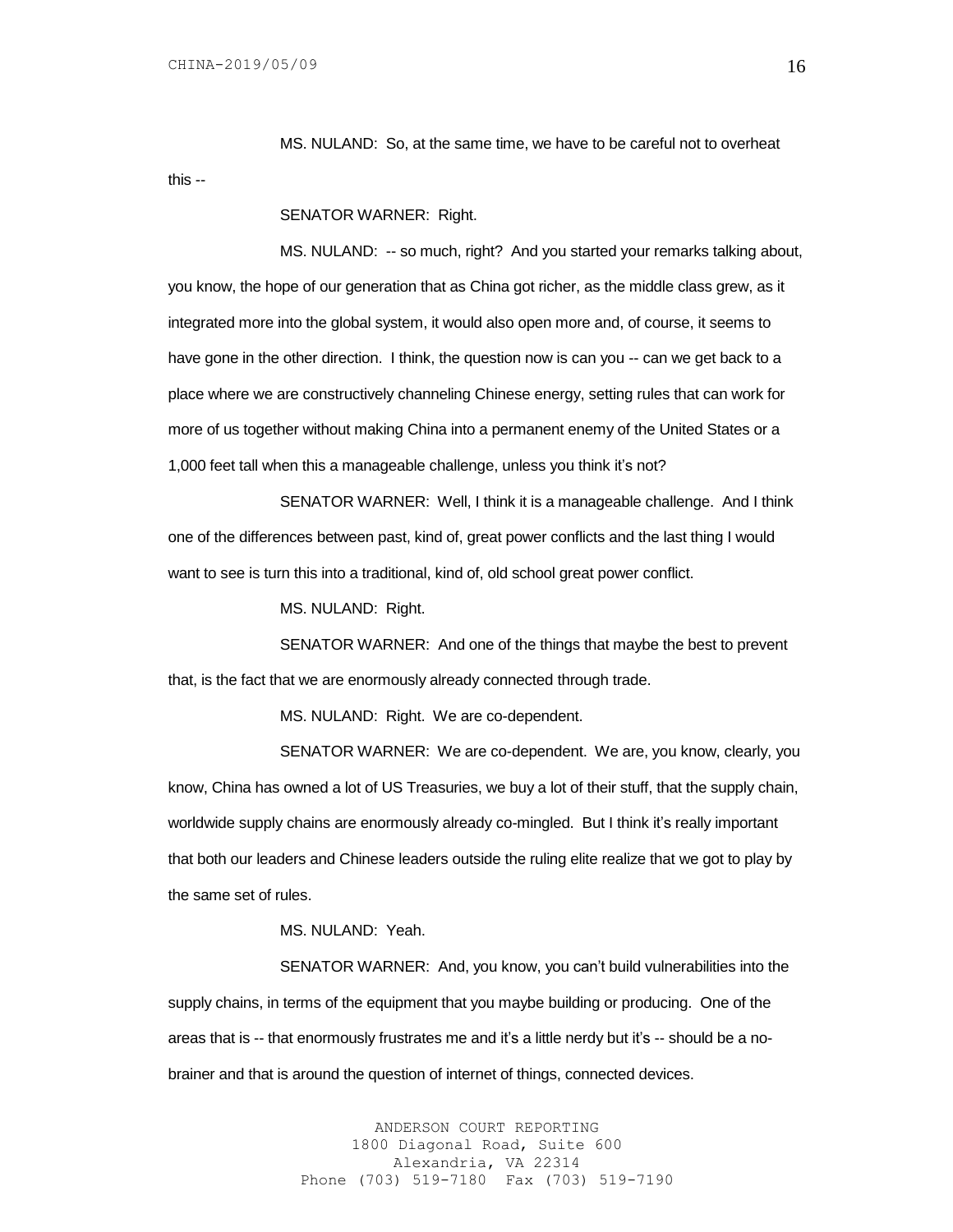MS. NULAND: So, at the same time, we have to be careful not to overheat

this --

# SENATOR WARNER: Right.

MS. NULAND: -- so much, right? And you started your remarks talking about, you know, the hope of our generation that as China got richer, as the middle class grew, as it integrated more into the global system, it would also open more and, of course, it seems to have gone in the other direction. I think, the question now is can you -- can we get back to a place where we are constructively channeling Chinese energy, setting rules that can work for more of us together without making China into a permanent enemy of the United States or a 1,000 feet tall when this a manageable challenge, unless you think it's not?

SENATOR WARNER: Well, I think it is a manageable challenge. And I think one of the differences between past, kind of, great power conflicts and the last thing I would want to see is turn this into a traditional, kind of, old school great power conflict.

MS. NULAND: Right.

SENATOR WARNER: And one of the things that maybe the best to prevent that, is the fact that we are enormously already connected through trade.

MS. NULAND: Right. We are co-dependent.

SENATOR WARNER: We are co-dependent. We are, you know, clearly, you know, China has owned a lot of US Treasuries, we buy a lot of their stuff, that the supply chain, worldwide supply chains are enormously already co-mingled. But I think it's really important that both our leaders and Chinese leaders outside the ruling elite realize that we got to play by the same set of rules.

## MS. NULAND: Yeah.

SENATOR WARNER: And, you know, you can't build vulnerabilities into the supply chains, in terms of the equipment that you maybe building or producing. One of the areas that is -- that enormously frustrates me and it's a little nerdy but it's -- should be a nobrainer and that is around the question of internet of things, connected devices.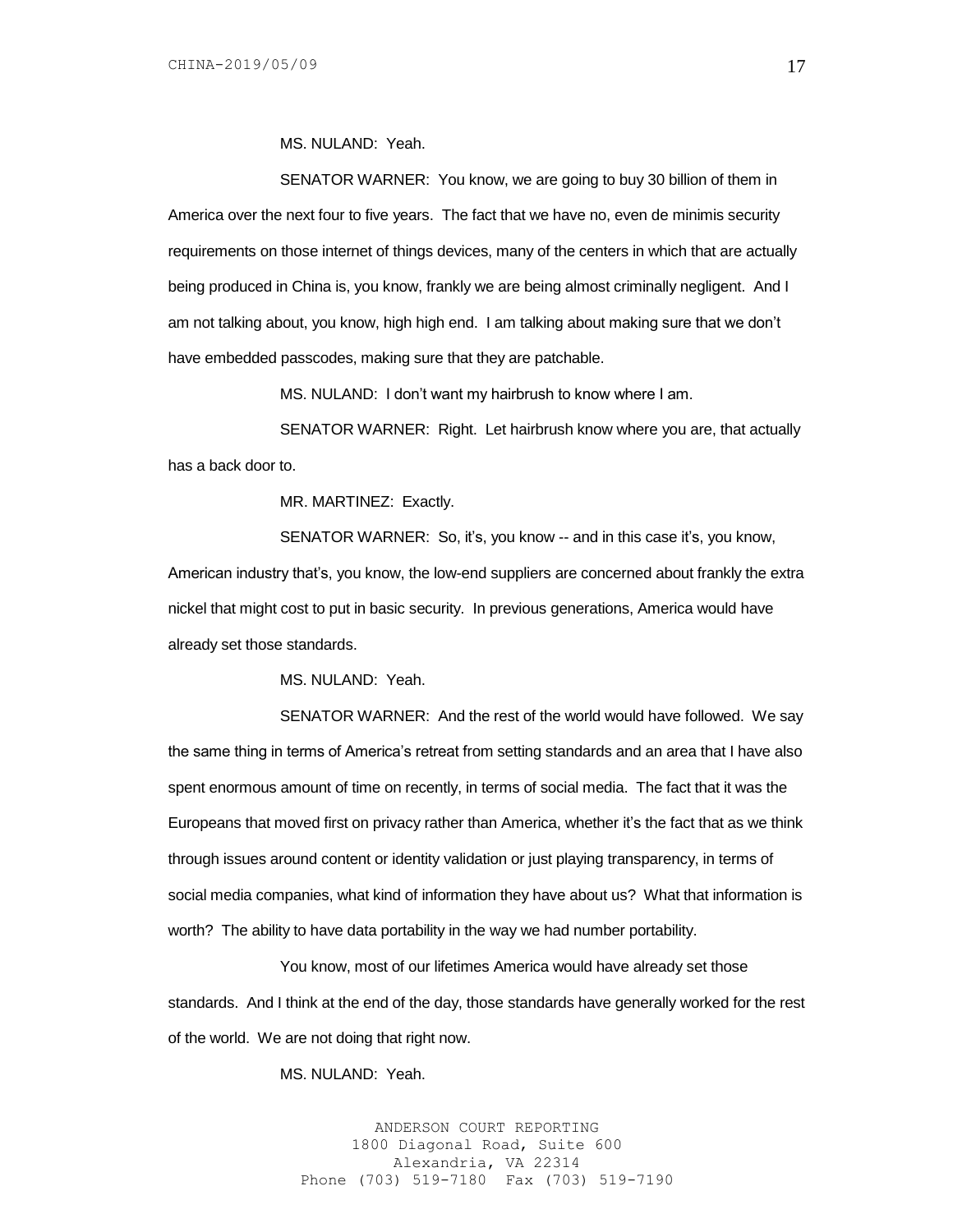MS. NULAND: Yeah.

SENATOR WARNER: You know, we are going to buy 30 billion of them in America over the next four to five years. The fact that we have no, even de minimis security requirements on those internet of things devices, many of the centers in which that are actually being produced in China is, you know, frankly we are being almost criminally negligent. And I am not talking about, you know, high high end. I am talking about making sure that we don't have embedded passcodes, making sure that they are patchable.

MS. NULAND: I don't want my hairbrush to know where I am.

SENATOR WARNER: Right. Let hairbrush know where you are, that actually has a back door to.

MR. MARTINEZ: Exactly.

SENATOR WARNER: So, it's, you know -- and in this case it's, you know, American industry that's, you know, the low-end suppliers are concerned about frankly the extra nickel that might cost to put in basic security. In previous generations, America would have already set those standards.

MS. NULAND: Yeah.

SENATOR WARNER: And the rest of the world would have followed. We say the same thing in terms of America's retreat from setting standards and an area that I have also spent enormous amount of time on recently, in terms of social media. The fact that it was the Europeans that moved first on privacy rather than America, whether it's the fact that as we think through issues around content or identity validation or just playing transparency, in terms of social media companies, what kind of information they have about us? What that information is worth? The ability to have data portability in the way we had number portability.

You know, most of our lifetimes America would have already set those standards. And I think at the end of the day, those standards have generally worked for the rest of the world. We are not doing that right now.

MS. NULAND: Yeah.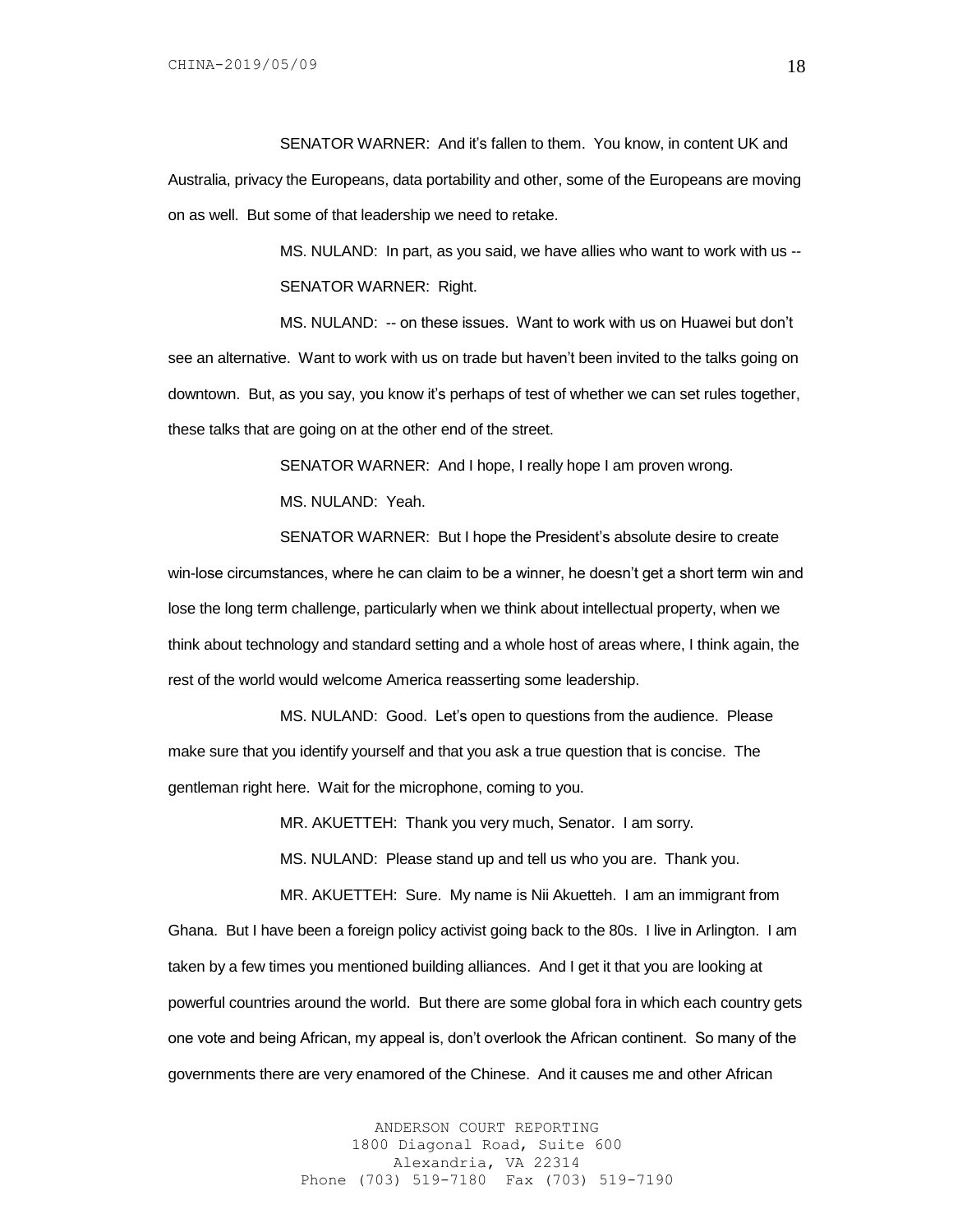SENATOR WARNER: And it's fallen to them. You know, in content UK and Australia, privacy the Europeans, data portability and other, some of the Europeans are moving on as well. But some of that leadership we need to retake.

> MS. NULAND: In part, as you said, we have allies who want to work with us -- SENATOR WARNER: Right.

MS. NULAND: -- on these issues. Want to work with us on Huawei but don't see an alternative. Want to work with us on trade but haven't been invited to the talks going on downtown. But, as you say, you know it's perhaps of test of whether we can set rules together, these talks that are going on at the other end of the street.

> SENATOR WARNER: And I hope, I really hope I am proven wrong. MS. NULAND: Yeah.

SENATOR WARNER: But I hope the President's absolute desire to create win-lose circumstances, where he can claim to be a winner, he doesn't get a short term win and lose the long term challenge, particularly when we think about intellectual property, when we think about technology and standard setting and a whole host of areas where, I think again, the rest of the world would welcome America reasserting some leadership.

MS. NULAND: Good. Let's open to questions from the audience. Please make sure that you identify yourself and that you ask a true question that is concise. The gentleman right here. Wait for the microphone, coming to you.

MR. AKUETTEH: Thank you very much, Senator. I am sorry.

MS. NULAND: Please stand up and tell us who you are. Thank you.

MR. AKUETTEH: Sure. My name is Nii Akuetteh. I am an immigrant from Ghana. But I have been a foreign policy activist going back to the 80s. I live in Arlington. I am taken by a few times you mentioned building alliances. And I get it that you are looking at powerful countries around the world. But there are some global fora in which each country gets one vote and being African, my appeal is, don't overlook the African continent. So many of the governments there are very enamored of the Chinese. And it causes me and other African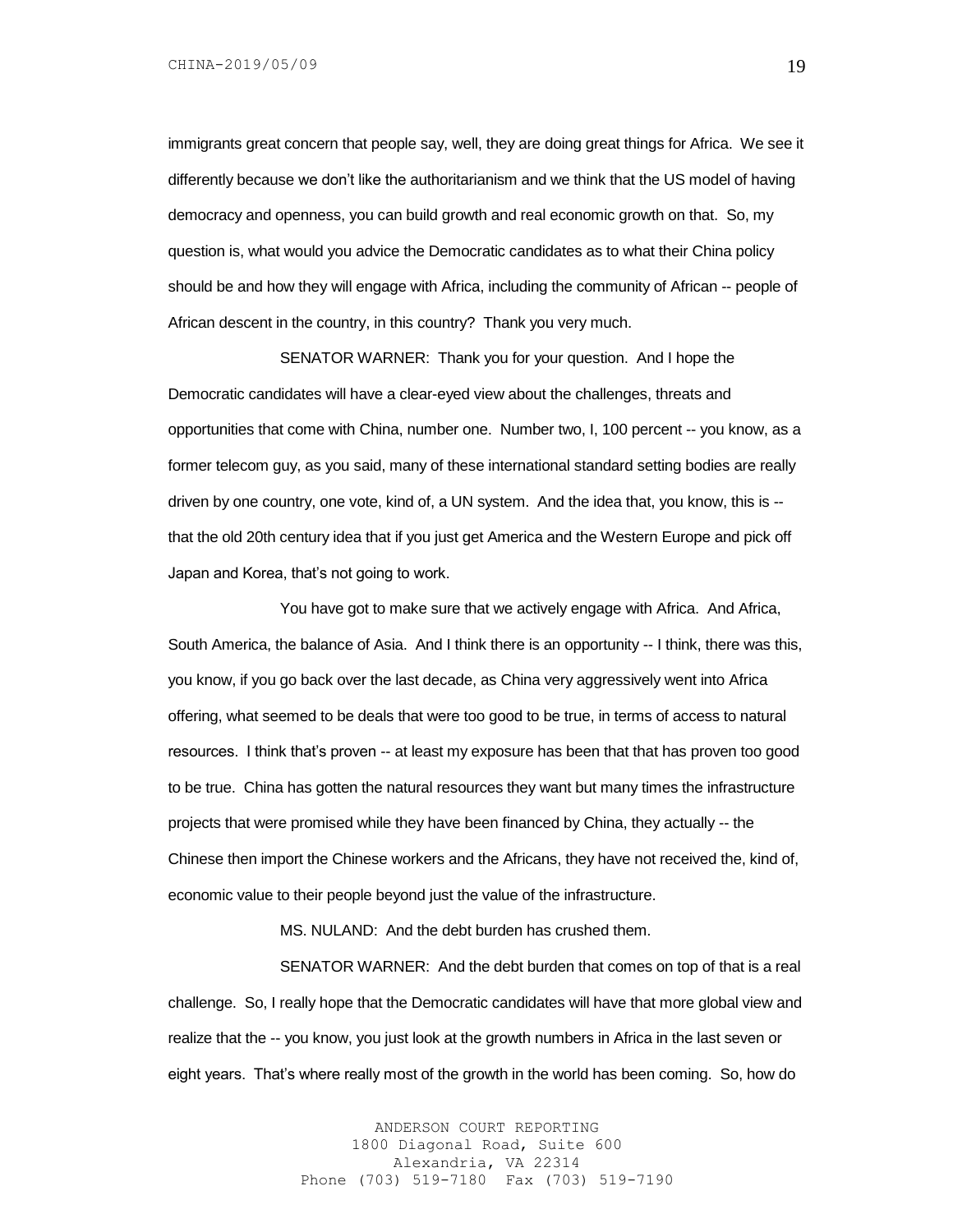immigrants great concern that people say, well, they are doing great things for Africa. We see it differently because we don't like the authoritarianism and we think that the US model of having democracy and openness, you can build growth and real economic growth on that. So, my question is, what would you advice the Democratic candidates as to what their China policy should be and how they will engage with Africa, including the community of African -- people of African descent in the country, in this country? Thank you very much.

SENATOR WARNER: Thank you for your question. And I hope the Democratic candidates will have a clear-eyed view about the challenges, threats and opportunities that come with China, number one. Number two, I, 100 percent -- you know, as a former telecom guy, as you said, many of these international standard setting bodies are really driven by one country, one vote, kind of, a UN system. And the idea that, you know, this is - that the old 20th century idea that if you just get America and the Western Europe and pick off Japan and Korea, that's not going to work.

You have got to make sure that we actively engage with Africa. And Africa, South America, the balance of Asia. And I think there is an opportunity -- I think, there was this, you know, if you go back over the last decade, as China very aggressively went into Africa offering, what seemed to be deals that were too good to be true, in terms of access to natural resources. I think that's proven -- at least my exposure has been that that has proven too good to be true. China has gotten the natural resources they want but many times the infrastructure projects that were promised while they have been financed by China, they actually -- the Chinese then import the Chinese workers and the Africans, they have not received the, kind of, economic value to their people beyond just the value of the infrastructure.

MS. NULAND: And the debt burden has crushed them.

SENATOR WARNER: And the debt burden that comes on top of that is a real challenge. So, I really hope that the Democratic candidates will have that more global view and realize that the -- you know, you just look at the growth numbers in Africa in the last seven or eight years. That's where really most of the growth in the world has been coming. So, how do

> ANDERSON COURT REPORTING 1800 Diagonal Road, Suite 600 Alexandria, VA 22314 Phone (703) 519-7180 Fax (703) 519-7190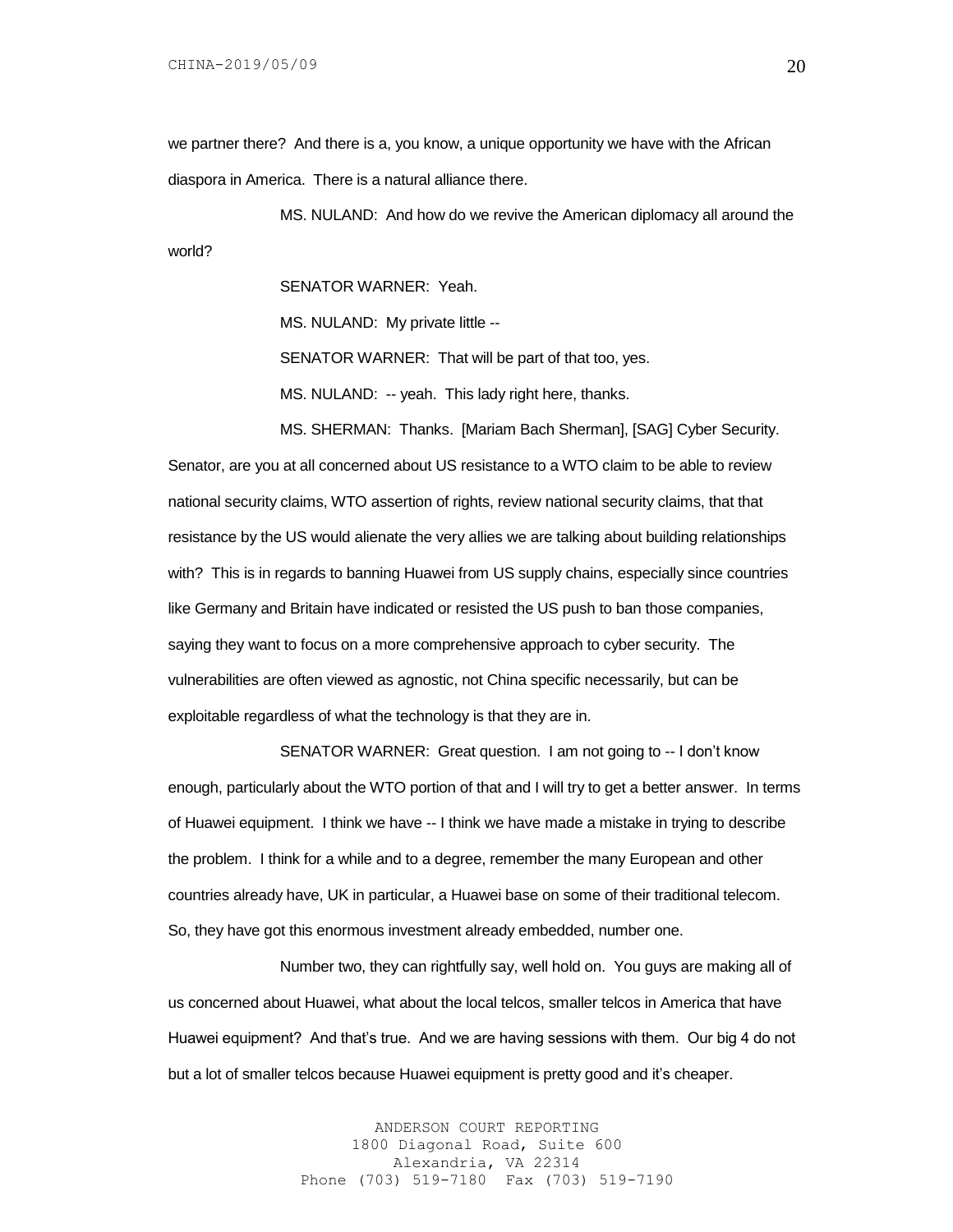we partner there? And there is a, you know, a unique opportunity we have with the African diaspora in America. There is a natural alliance there.

MS. NULAND: And how do we revive the American diplomacy all around the world?

SENATOR WARNER: Yeah.

MS. NULAND: My private little --

SENATOR WARNER: That will be part of that too, yes.

MS. NULAND: -- yeah. This lady right here, thanks.

MS. SHERMAN: Thanks. [Mariam Bach Sherman], [SAG] Cyber Security. Senator, are you at all concerned about US resistance to a WTO claim to be able to review national security claims, WTO assertion of rights, review national security claims, that that resistance by the US would alienate the very allies we are talking about building relationships with? This is in regards to banning Huawei from US supply chains, especially since countries like Germany and Britain have indicated or resisted the US push to ban those companies, saying they want to focus on a more comprehensive approach to cyber security. The vulnerabilities are often viewed as agnostic, not China specific necessarily, but can be exploitable regardless of what the technology is that they are in.

SENATOR WARNER: Great question. I am not going to -- I don't know enough, particularly about the WTO portion of that and I will try to get a better answer. In terms of Huawei equipment. I think we have -- I think we have made a mistake in trying to describe the problem. I think for a while and to a degree, remember the many European and other countries already have, UK in particular, a Huawei base on some of their traditional telecom. So, they have got this enormous investment already embedded, number one.

Number two, they can rightfully say, well hold on. You guys are making all of us concerned about Huawei, what about the local telcos, smaller telcos in America that have Huawei equipment? And that's true. And we are having sessions with them. Our big 4 do not but a lot of smaller telcos because Huawei equipment is pretty good and it's cheaper.

> ANDERSON COURT REPORTING 1800 Diagonal Road, Suite 600 Alexandria, VA 22314 Phone (703) 519-7180 Fax (703) 519-7190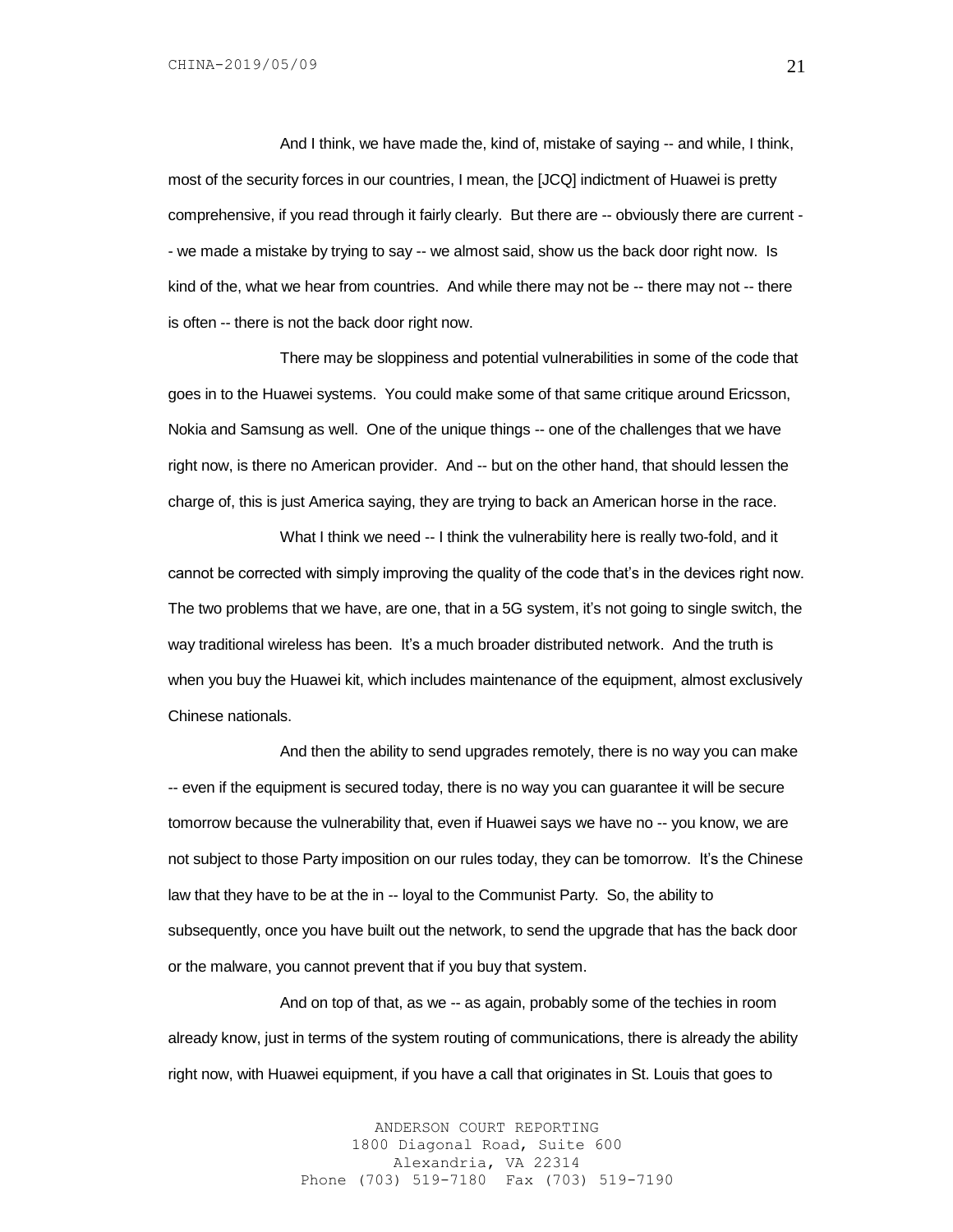And I think, we have made the, kind of, mistake of saying -- and while, I think, most of the security forces in our countries, I mean, the [JCQ] indictment of Huawei is pretty comprehensive, if you read through it fairly clearly. But there are -- obviously there are current - - we made a mistake by trying to say -- we almost said, show us the back door right now. Is kind of the, what we hear from countries. And while there may not be -- there may not -- there is often -- there is not the back door right now.

There may be sloppiness and potential vulnerabilities in some of the code that goes in to the Huawei systems. You could make some of that same critique around Ericsson, Nokia and Samsung as well. One of the unique things -- one of the challenges that we have right now, is there no American provider. And -- but on the other hand, that should lessen the charge of, this is just America saying, they are trying to back an American horse in the race.

What I think we need -- I think the vulnerability here is really two-fold, and it cannot be corrected with simply improving the quality of the code that's in the devices right now. The two problems that we have, are one, that in a 5G system, it's not going to single switch, the way traditional wireless has been. It's a much broader distributed network. And the truth is when you buy the Huawei kit, which includes maintenance of the equipment, almost exclusively Chinese nationals.

And then the ability to send upgrades remotely, there is no way you can make -- even if the equipment is secured today, there is no way you can guarantee it will be secure tomorrow because the vulnerability that, even if Huawei says we have no -- you know, we are not subject to those Party imposition on our rules today, they can be tomorrow. It's the Chinese law that they have to be at the in -- loyal to the Communist Party. So, the ability to subsequently, once you have built out the network, to send the upgrade that has the back door or the malware, you cannot prevent that if you buy that system.

And on top of that, as we -- as again, probably some of the techies in room already know, just in terms of the system routing of communications, there is already the ability right now, with Huawei equipment, if you have a call that originates in St. Louis that goes to

> ANDERSON COURT REPORTING 1800 Diagonal Road, Suite 600 Alexandria, VA 22314 Phone (703) 519-7180 Fax (703) 519-7190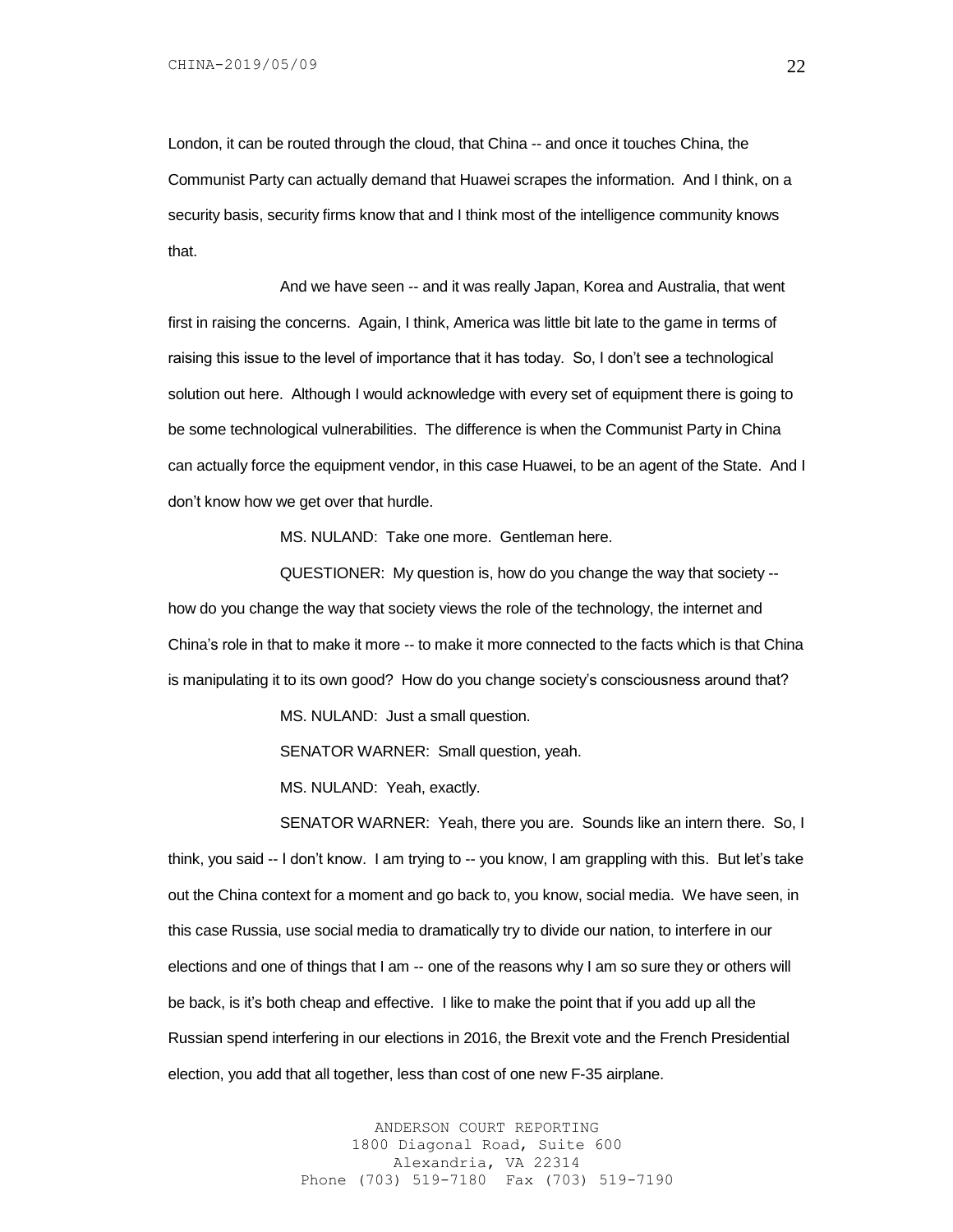London, it can be routed through the cloud, that China -- and once it touches China, the Communist Party can actually demand that Huawei scrapes the information. And I think, on a security basis, security firms know that and I think most of the intelligence community knows that.

And we have seen -- and it was really Japan, Korea and Australia, that went first in raising the concerns. Again, I think, America was little bit late to the game in terms of raising this issue to the level of importance that it has today. So, I don't see a technological solution out here. Although I would acknowledge with every set of equipment there is going to be some technological vulnerabilities. The difference is when the Communist Party in China can actually force the equipment vendor, in this case Huawei, to be an agent of the State. And I don't know how we get over that hurdle.

MS. NULAND: Take one more. Gentleman here.

QUESTIONER: My question is, how do you change the way that society - how do you change the way that society views the role of the technology, the internet and China's role in that to make it more -- to make it more connected to the facts which is that China is manipulating it to its own good? How do you change society's consciousness around that?

MS. NULAND: Just a small question.

SENATOR WARNER: Small question, yeah.

MS. NULAND: Yeah, exactly.

SENATOR WARNER: Yeah, there you are. Sounds like an intern there. So, I think, you said -- I don't know. I am trying to -- you know, I am grappling with this. But let's take out the China context for a moment and go back to, you know, social media. We have seen, in this case Russia, use social media to dramatically try to divide our nation, to interfere in our elections and one of things that I am -- one of the reasons why I am so sure they or others will be back, is it's both cheap and effective. I like to make the point that if you add up all the Russian spend interfering in our elections in 2016, the Brexit vote and the French Presidential election, you add that all together, less than cost of one new F-35 airplane.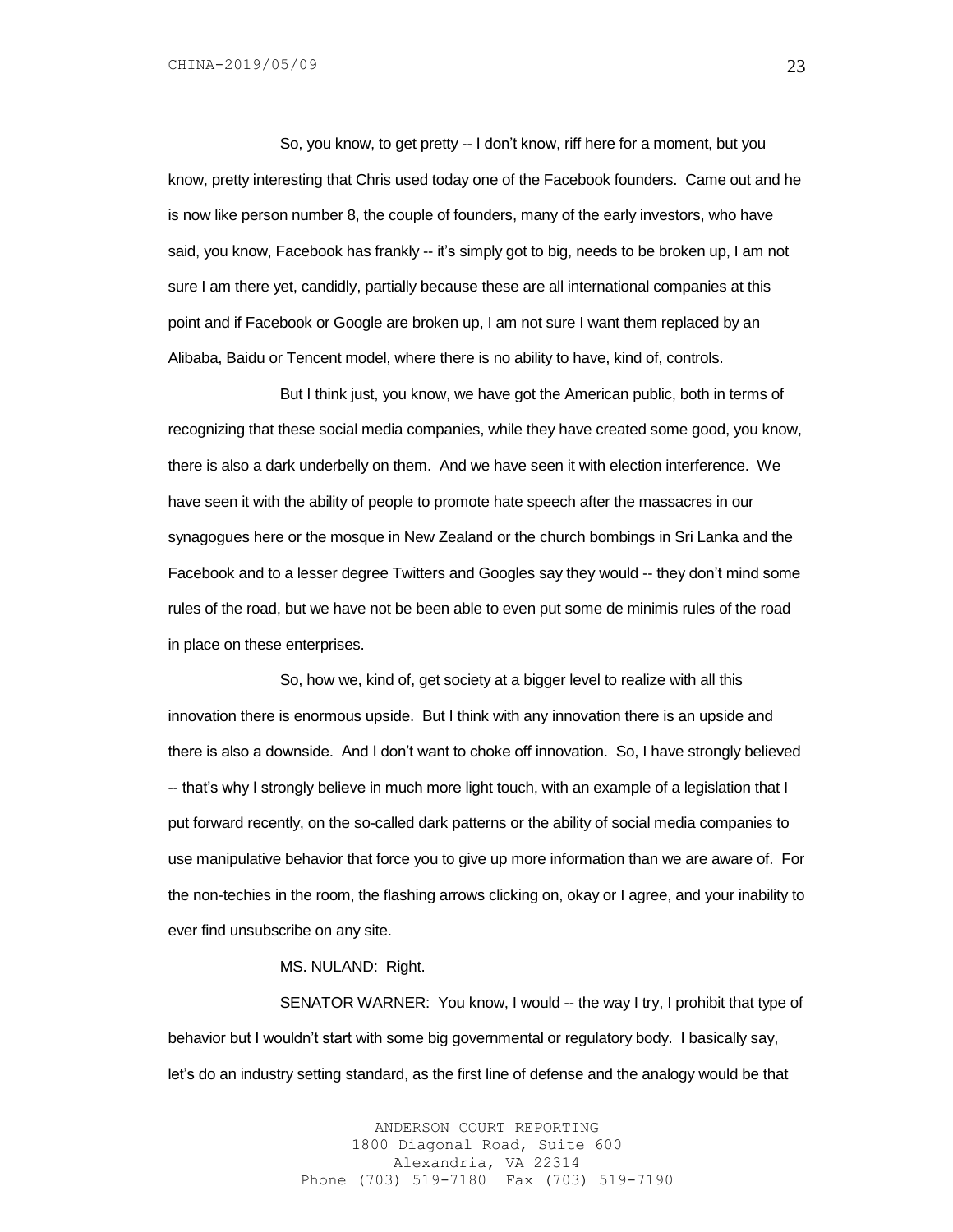So, you know, to get pretty -- I don't know, riff here for a moment, but you know, pretty interesting that Chris used today one of the Facebook founders. Came out and he is now like person number 8, the couple of founders, many of the early investors, who have said, you know, Facebook has frankly -- it's simply got to big, needs to be broken up, I am not sure I am there yet, candidly, partially because these are all international companies at this point and if Facebook or Google are broken up, I am not sure I want them replaced by an Alibaba, Baidu or Tencent model, where there is no ability to have, kind of, controls.

But I think just, you know, we have got the American public, both in terms of recognizing that these social media companies, while they have created some good, you know, there is also a dark underbelly on them. And we have seen it with election interference. We have seen it with the ability of people to promote hate speech after the massacres in our synagogues here or the mosque in New Zealand or the church bombings in Sri Lanka and the Facebook and to a lesser degree Twitters and Googles say they would -- they don't mind some rules of the road, but we have not be been able to even put some de minimis rules of the road in place on these enterprises.

So, how we, kind of, get society at a bigger level to realize with all this innovation there is enormous upside. But I think with any innovation there is an upside and there is also a downside. And I don't want to choke off innovation. So, I have strongly believed -- that's why I strongly believe in much more light touch, with an example of a legislation that I put forward recently, on the so-called dark patterns or the ability of social media companies to use manipulative behavior that force you to give up more information than we are aware of. For the non-techies in the room, the flashing arrows clicking on, okay or I agree, and your inability to ever find unsubscribe on any site.

### MS. NULAND: Right.

SENATOR WARNER: You know, I would -- the way I try, I prohibit that type of behavior but I wouldn't start with some big governmental or regulatory body. I basically say, let's do an industry setting standard, as the first line of defense and the analogy would be that

> ANDERSON COURT REPORTING 1800 Diagonal Road, Suite 600 Alexandria, VA 22314 Phone (703) 519-7180 Fax (703) 519-7190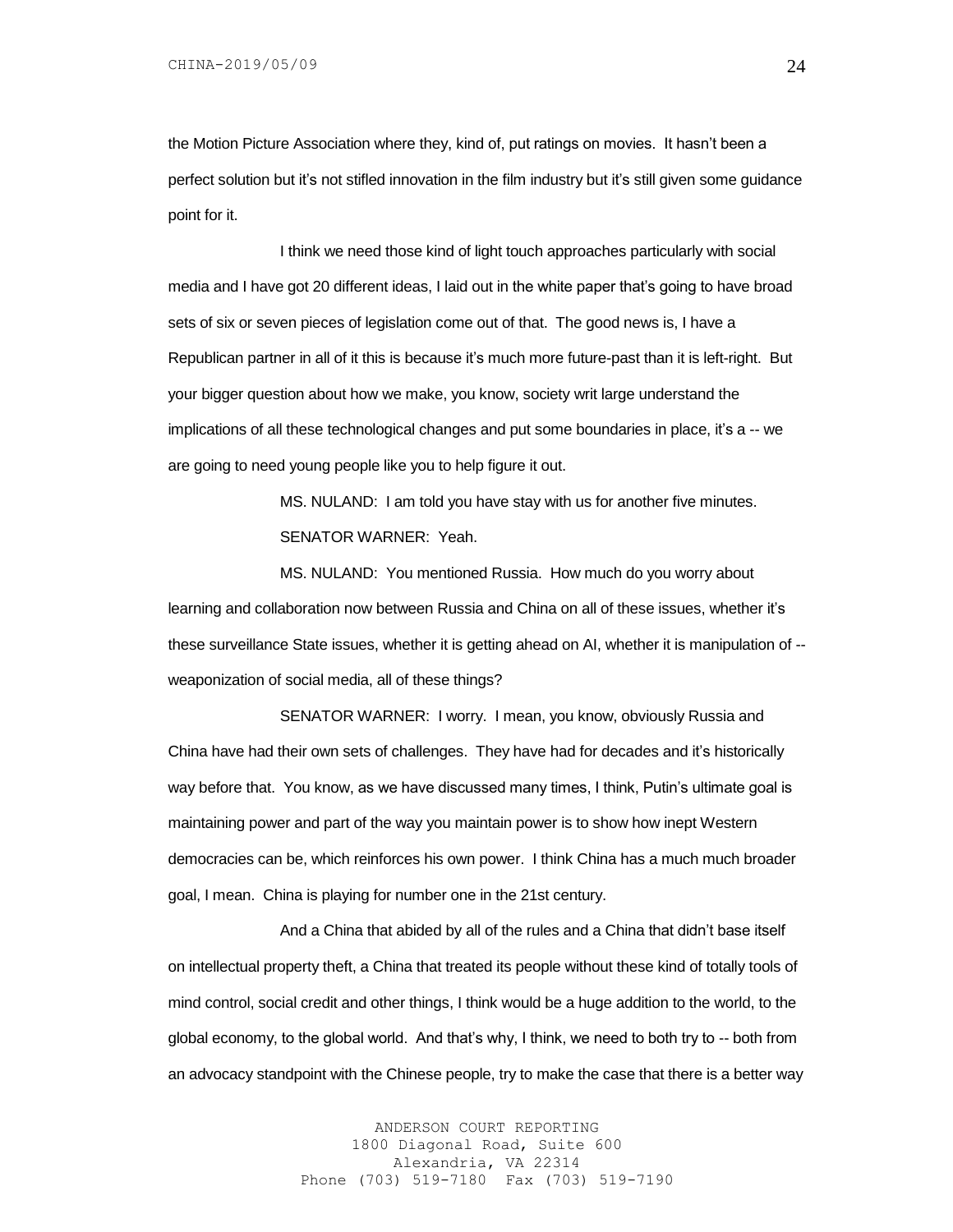the Motion Picture Association where they, kind of, put ratings on movies. It hasn't been a perfect solution but it's not stifled innovation in the film industry but it's still given some guidance point for it.

I think we need those kind of light touch approaches particularly with social media and I have got 20 different ideas, I laid out in the white paper that's going to have broad sets of six or seven pieces of legislation come out of that. The good news is, I have a Republican partner in all of it this is because it's much more future-past than it is left-right. But your bigger question about how we make, you know, society writ large understand the implications of all these technological changes and put some boundaries in place, it's a -- we are going to need young people like you to help figure it out.

> MS. NULAND: I am told you have stay with us for another five minutes. SENATOR WARNER: Yeah.

MS. NULAND: You mentioned Russia. How much do you worry about learning and collaboration now between Russia and China on all of these issues, whether it's these surveillance State issues, whether it is getting ahead on AI, whether it is manipulation of - weaponization of social media, all of these things?

SENATOR WARNER: I worry. I mean, you know, obviously Russia and China have had their own sets of challenges. They have had for decades and it's historically way before that. You know, as we have discussed many times, I think, Putin's ultimate goal is maintaining power and part of the way you maintain power is to show how inept Western democracies can be, which reinforces his own power. I think China has a much much broader goal, I mean. China is playing for number one in the 21st century.

And a China that abided by all of the rules and a China that didn't base itself on intellectual property theft, a China that treated its people without these kind of totally tools of mind control, social credit and other things, I think would be a huge addition to the world, to the global economy, to the global world. And that's why, I think, we need to both try to -- both from an advocacy standpoint with the Chinese people, try to make the case that there is a better way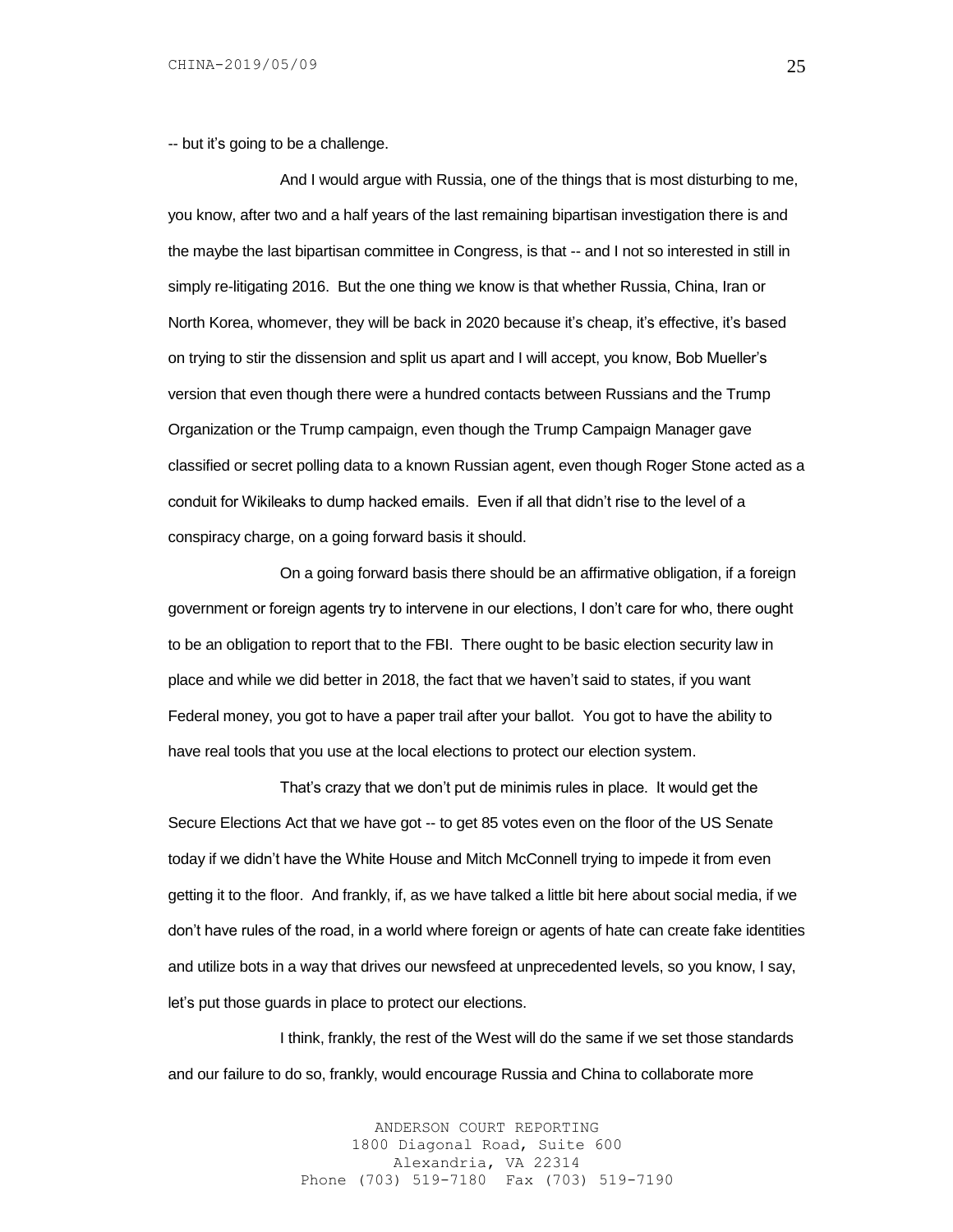-- but it's going to be a challenge.

And I would argue with Russia, one of the things that is most disturbing to me, you know, after two and a half years of the last remaining bipartisan investigation there is and the maybe the last bipartisan committee in Congress, is that -- and I not so interested in still in simply re-litigating 2016. But the one thing we know is that whether Russia, China, Iran or North Korea, whomever, they will be back in 2020 because it's cheap, it's effective, it's based on trying to stir the dissension and split us apart and I will accept, you know, Bob Mueller's version that even though there were a hundred contacts between Russians and the Trump Organization or the Trump campaign, even though the Trump Campaign Manager gave classified or secret polling data to a known Russian agent, even though Roger Stone acted as a conduit for Wikileaks to dump hacked emails. Even if all that didn't rise to the level of a conspiracy charge, on a going forward basis it should.

On a going forward basis there should be an affirmative obligation, if a foreign government or foreign agents try to intervene in our elections, I don't care for who, there ought to be an obligation to report that to the FBI. There ought to be basic election security law in place and while we did better in 2018, the fact that we haven't said to states, if you want Federal money, you got to have a paper trail after your ballot. You got to have the ability to have real tools that you use at the local elections to protect our election system.

That's crazy that we don't put de minimis rules in place. It would get the Secure Elections Act that we have got -- to get 85 votes even on the floor of the US Senate today if we didn't have the White House and Mitch McConnell trying to impede it from even getting it to the floor. And frankly, if, as we have talked a little bit here about social media, if we don't have rules of the road, in a world where foreign or agents of hate can create fake identities and utilize bots in a way that drives our newsfeed at unprecedented levels, so you know, I say, let's put those guards in place to protect our elections.

I think, frankly, the rest of the West will do the same if we set those standards and our failure to do so, frankly, would encourage Russia and China to collaborate more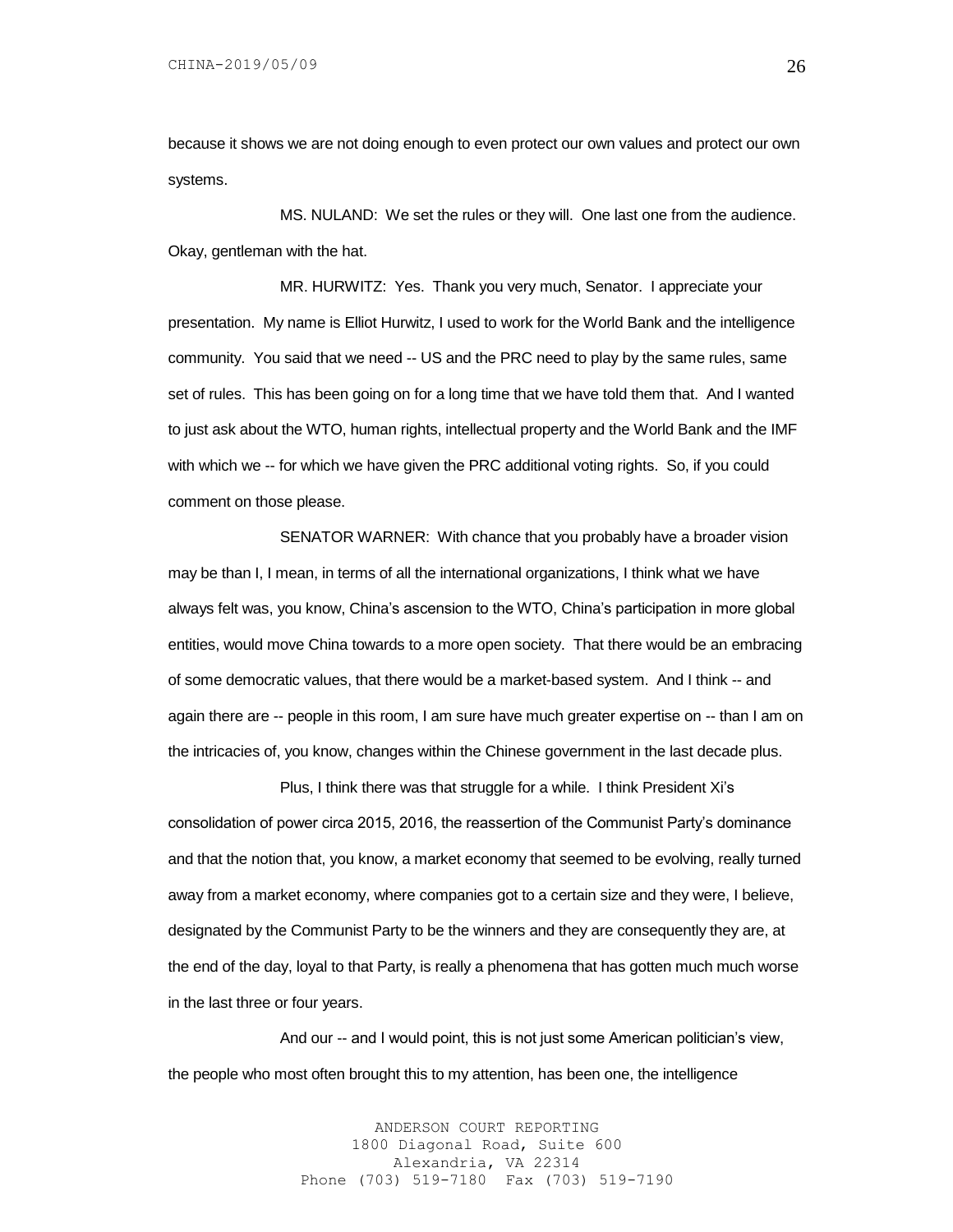because it shows we are not doing enough to even protect our own values and protect our own systems.

MS. NULAND: We set the rules or they will. One last one from the audience. Okay, gentleman with the hat.

MR. HURWITZ: Yes. Thank you very much, Senator. I appreciate your presentation. My name is Elliot Hurwitz, I used to work for the World Bank and the intelligence community. You said that we need -- US and the PRC need to play by the same rules, same set of rules. This has been going on for a long time that we have told them that. And I wanted to just ask about the WTO, human rights, intellectual property and the World Bank and the IMF with which we -- for which we have given the PRC additional voting rights. So, if you could comment on those please.

SENATOR WARNER: With chance that you probably have a broader vision may be than I, I mean, in terms of all the international organizations, I think what we have always felt was, you know, China's ascension to the WTO, China's participation in more global entities, would move China towards to a more open society. That there would be an embracing of some democratic values, that there would be a market-based system. And I think -- and again there are -- people in this room, I am sure have much greater expertise on -- than I am on the intricacies of, you know, changes within the Chinese government in the last decade plus.

Plus, I think there was that struggle for a while. I think President Xi's consolidation of power circa 2015, 2016, the reassertion of the Communist Party's dominance and that the notion that, you know, a market economy that seemed to be evolving, really turned away from a market economy, where companies got to a certain size and they were, I believe, designated by the Communist Party to be the winners and they are consequently they are, at the end of the day, loyal to that Party, is really a phenomena that has gotten much much worse in the last three or four years.

And our -- and I would point, this is not just some American politician's view, the people who most often brought this to my attention, has been one, the intelligence

> ANDERSON COURT REPORTING 1800 Diagonal Road, Suite 600 Alexandria, VA 22314 Phone (703) 519-7180 Fax (703) 519-7190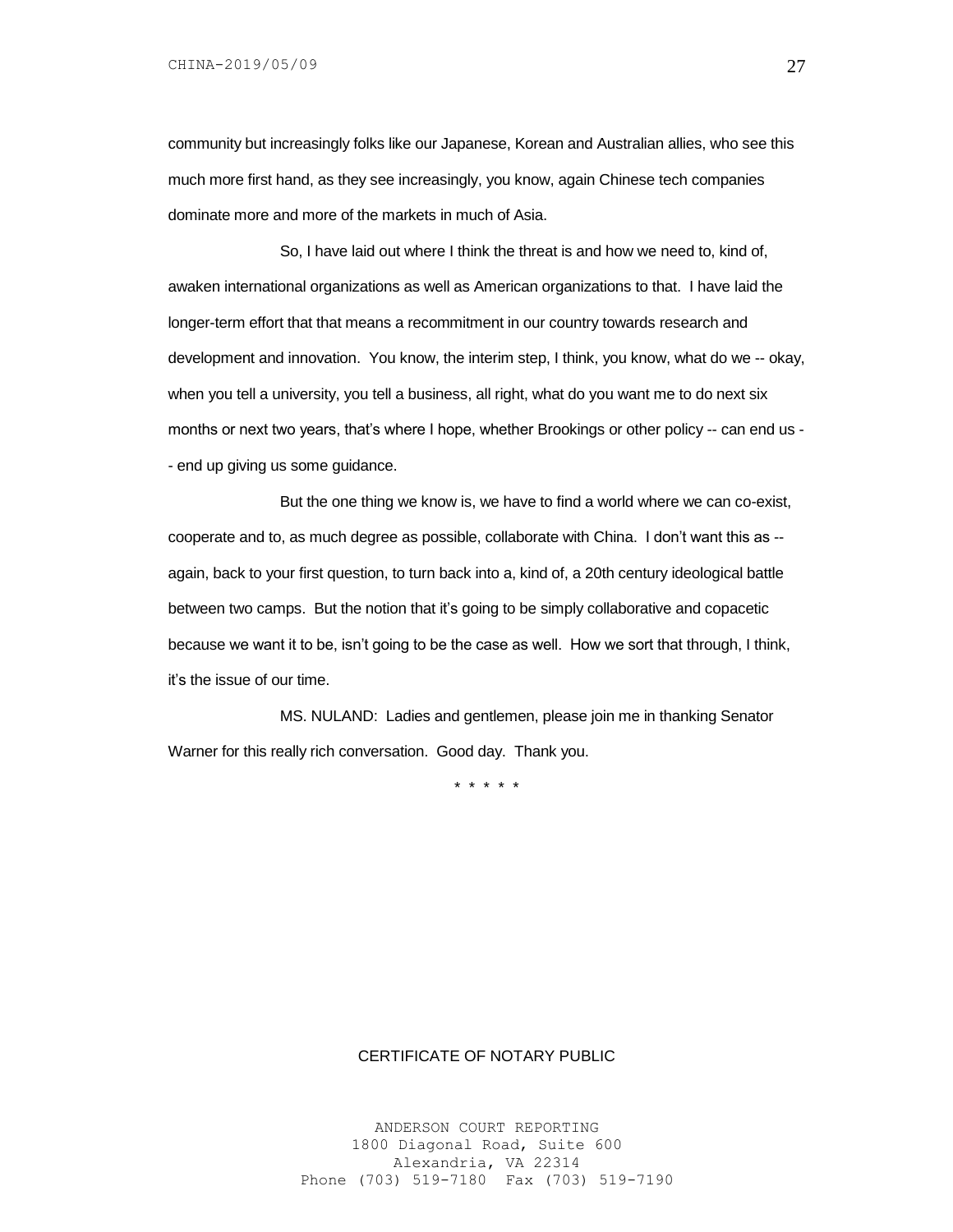community but increasingly folks like our Japanese, Korean and Australian allies, who see this much more first hand, as they see increasingly, you know, again Chinese tech companies dominate more and more of the markets in much of Asia.

So, I have laid out where I think the threat is and how we need to, kind of, awaken international organizations as well as American organizations to that. I have laid the longer-term effort that that means a recommitment in our country towards research and development and innovation. You know, the interim step, I think, you know, what do we -- okay, when you tell a university, you tell a business, all right, what do you want me to do next six months or next two years, that's where I hope, whether Brookings or other policy -- can end us - - end up giving us some guidance.

But the one thing we know is, we have to find a world where we can co-exist, cooperate and to, as much degree as possible, collaborate with China. I don't want this as - again, back to your first question, to turn back into a, kind of, a 20th century ideological battle between two camps. But the notion that it's going to be simply collaborative and copacetic because we want it to be, isn't going to be the case as well. How we sort that through, I think, it's the issue of our time.

MS. NULAND: Ladies and gentlemen, please join me in thanking Senator Warner for this really rich conversation. Good day. Thank you.

\* \* \* \* \*

# CERTIFICATE OF NOTARY PUBLIC

ANDERSON COURT REPORTING 1800 Diagonal Road, Suite 600 Alexandria, VA 22314 Phone (703) 519-7180 Fax (703) 519-7190